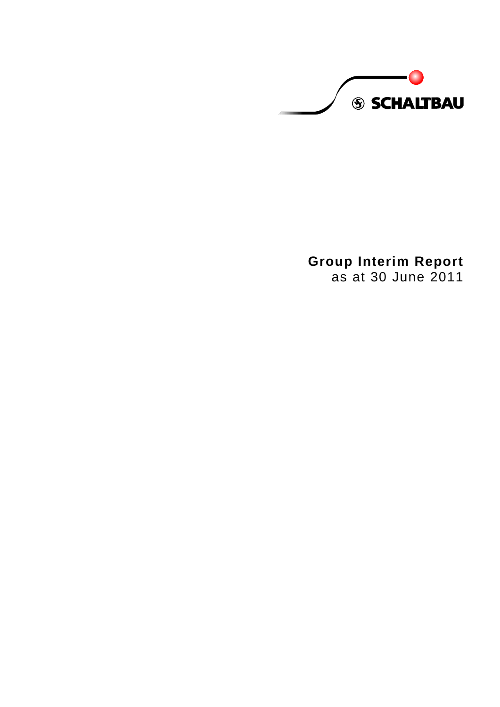**S SCHALTBAU** 

**Group Interim Report** as at 30 June 2011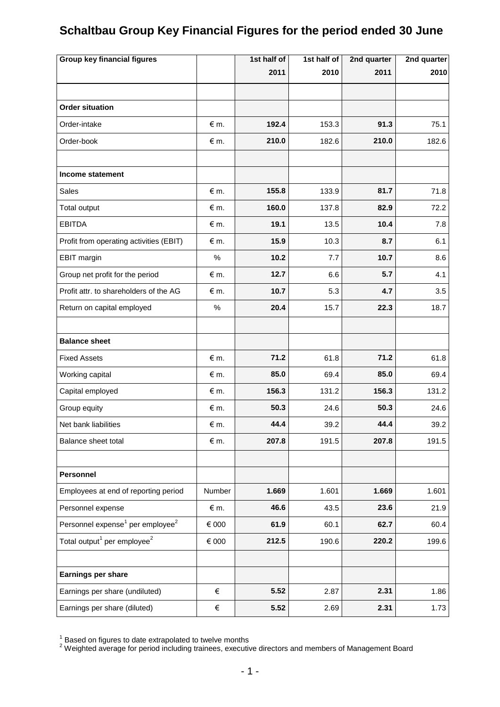# **Schaltbau Group Key Financial Figures for the period ended 30 June**

| <b>Group key financial figures</b>                       |               | 1st half of | 1st half of | 2nd quarter | 2nd quarter |
|----------------------------------------------------------|---------------|-------------|-------------|-------------|-------------|
|                                                          |               | 2011        | 2010        | 2011        | 2010        |
|                                                          |               |             |             |             |             |
| <b>Order situation</b>                                   |               |             |             |             |             |
| Order-intake                                             | $\notin$ m.   | 192.4       | 153.3       | 91.3        | 75.1        |
| Order-book                                               | $\epsilon$ m. | 210.0       | 182.6       | 210.0       | 182.6       |
| <b>Income statement</b>                                  |               |             |             |             |             |
| Sales                                                    | $\epsilon$ m. | 155.8       | 133.9       | 81.7        | 71.8        |
| Total output                                             | $\notin$ m.   | 160.0       | 137.8       | 82.9        | 72.2        |
| <b>EBITDA</b>                                            | $\notin$ m.   | 19.1        | 13.5        | 10.4        | 7.8         |
| Profit from operating activities (EBIT)                  | $\notin$ m.   | 15.9        | 10.3        | 8.7         | 6.1         |
| EBIT margin                                              | %             | 10.2        | 7.7         | 10.7        | 8.6         |
| Group net profit for the period                          | $\epsilon$ m. | 12.7        | 6.6         | 5.7         | 4.1         |
| Profit attr. to shareholders of the AG                   | $\notin$ m.   | 10.7        | 5.3         | 4.7         | 3.5         |
| Return on capital employed                               | $\%$          | 20.4        | 15.7        | 22.3        | 18.7        |
| <b>Balance sheet</b>                                     |               |             |             |             |             |
| <b>Fixed Assets</b>                                      | $\notin$ m.   | 71.2        | 61.8        | 71.2        | 61.8        |
| Working capital                                          | $\epsilon$ m. | 85.0        | 69.4        | 85.0        | 69.4        |
| Capital employed                                         | $\epsilon$ m. | 156.3       | 131.2       | 156.3       | 131.2       |
| Group equity                                             | $\notin$ m.   | 50.3        | 24.6        | 50.3        | 24.6        |
| Net bank liabilities                                     | $\notin$ m.   | 44.4        | 39.2        | 44.4        | 39.2        |
| Balance sheet total                                      | $\epsilon$ m. | 207.8       | 191.5       | 207.8       | 191.5       |
| Personnel                                                |               |             |             |             |             |
| Employees at end of reporting period                     | Number        | 1.669       | 1.601       | 1.669       | 1.601       |
| Personnel expense                                        | € m.          | 46.6        | 43.5        | 23.6        | 21.9        |
| Personnel expense <sup>1</sup> per employee <sup>2</sup> | € 000         | 61.9        | 60.1        | 62.7        | 60.4        |
| Total output <sup>1</sup> per employee <sup>2</sup>      | € 000         | 212.5       | 190.6       | 220.2       | 199.6       |
|                                                          |               |             |             |             |             |
| Earnings per share                                       |               |             |             |             |             |
| Earnings per share (undiluted)                           | €             | 5.52        | 2.87        | 2.31        | 1.86        |
| Earnings per share (diluted)                             | $\in$         | 5.52        | 2.69        | 2.31        | 1.73        |

 $1$  Based on figures to date extrapolated to twelve months

 $2$  Weighted average for period including trainees, executive directors and members of Management Board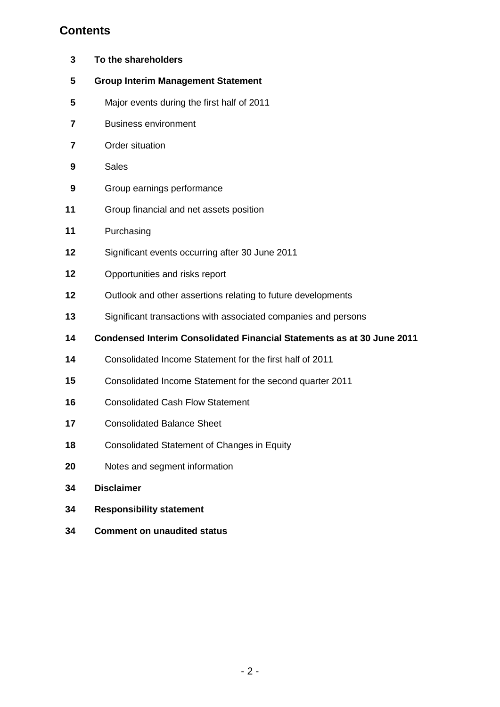# **Contents**

| 3  | To the shareholders                                                           |
|----|-------------------------------------------------------------------------------|
| 5  | <b>Group Interim Management Statement</b>                                     |
| 5  | Major events during the first half of 2011                                    |
| 7  | <b>Business environment</b>                                                   |
| 7  | Order situation                                                               |
| 9  | <b>Sales</b>                                                                  |
| 9  | Group earnings performance                                                    |
| 11 | Group financial and net assets position                                       |
| 11 | Purchasing                                                                    |
| 12 | Significant events occurring after 30 June 2011                               |
| 12 | Opportunities and risks report                                                |
| 12 | Outlook and other assertions relating to future developments                  |
| 13 | Significant transactions with associated companies and persons                |
| 14 | <b>Condensed Interim Consolidated Financial Statements as at 30 June 2011</b> |
| 14 | Consolidated Income Statement for the first half of 2011                      |
| 15 | Consolidated Income Statement for the second quarter 2011                     |
| 16 | <b>Consolidated Cash Flow Statement</b>                                       |
| 17 | <b>Consolidated Balance Sheet</b>                                             |
| 18 | Consolidated Statement of Changes in Equity                                   |
| 20 | Notes and segment information                                                 |
| 34 | <b>Disclaimer</b>                                                             |
| 34 | <b>Responsibility statement</b>                                               |
| 34 | <b>Comment on unaudited status</b>                                            |
|    |                                                                               |
|    |                                                                               |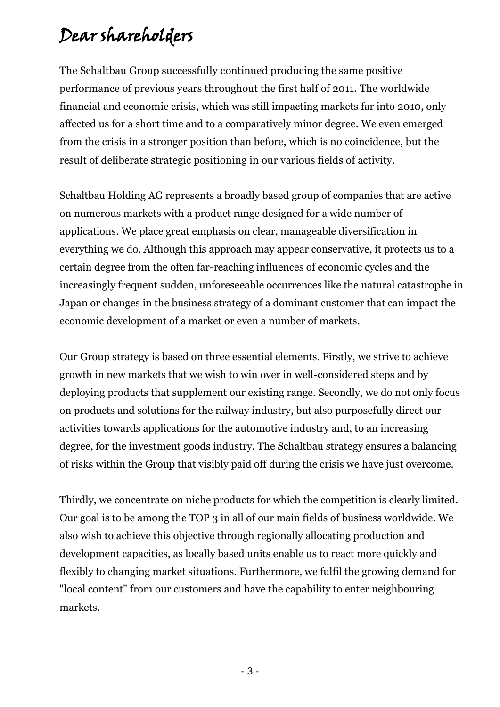# Dear shareholders

The Schaltbau Group successfully continued producing the same positive performance of previous years throughout the first half of 2011. The worldwide financial and economic crisis, which was still impacting markets far into 2010, only affected us for a short time and to a comparatively minor degree. We even emerged from the crisis in a stronger position than before, which is no coincidence, but the result of deliberate strategic positioning in our various fields of activity.

Schaltbau Holding AG represents a broadly based group of companies that are active on numerous markets with a product range designed for a wide number of applications. We place great emphasis on clear, manageable diversification in everything we do. Although this approach may appear conservative, it protects us to a certain degree from the often far-reaching influences of economic cycles and the increasingly frequent sudden, unforeseeable occurrences like the natural catastrophe in Japan or changes in the business strategy of a dominant customer that can impact the economic development of a market or even a number of markets.

Our Group strategy is based on three essential elements. Firstly, we strive to achieve growth in new markets that we wish to win over in well-considered steps and by deploying products that supplement our existing range. Secondly, we do not only focus on products and solutions for the railway industry, but also purposefully direct our activities towards applications for the automotive industry and, to an increasing degree, for the investment goods industry. The Schaltbau strategy ensures a balancing of risks within the Group that visibly paid off during the crisis we have just overcome.

Thirdly, we concentrate on niche products for which the competition is clearly limited. Our goal is to be among the TOP 3 in all of our main fields of business worldwide. We also wish to achieve this objective through regionally allocating production and development capacities, as locally based units enable us to react more quickly and flexibly to changing market situations. Furthermore, we fulfil the growing demand for "local content" from our customers and have the capability to enter neighbouring markets.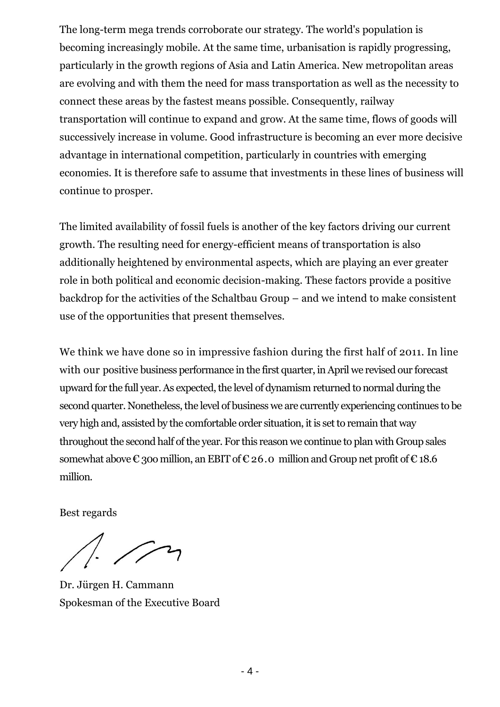The long-term mega trends corroborate our strategy. The world's population is becoming increasingly mobile. At the same time, urbanisation is rapidly progressing, particularly in the growth regions of Asia and Latin America. New metropolitan areas are evolving and with them the need for mass transportation as well as the necessity to connect these areas by the fastest means possible. Consequently, railway transportation will continue to expand and grow. At the same time, flows of goods will successively increase in volume. Good infrastructure is becoming an ever more decisive advantage in international competition, particularly in countries with emerging economies. It is therefore safe to assume that investments in these lines of business will continue to prosper.

The limited availability of fossil fuels is another of the key factors driving our current growth. The resulting need for energy-efficient means of transportation is also additionally heightened by environmental aspects, which are playing an ever greater role in both political and economic decision-making. These factors provide a positive backdrop for the activities of the Schaltbau Group – and we intend to make consistent use of the opportunities that present themselves.

We think we have done so in impressive fashion during the first half of 2011. In line with our positive business performance in the first quarter, in April we revised our forecast upward for the full year. As expected, the level of dynamism returned to normal during the second quarter. Nonetheless, the level of business we are currently experiencing continues to be very high and, assisted by the comfortable order situation, it is set to remain that way throughout the second half of the year. For this reason we continue to plan with Group sales somewhat above  $\epsilon$  300 million, an EBIT of  $\epsilon$  26.0 million and Group net profit of  $\epsilon$  18.6 million.

Best regards

 $1/2$ 

Dr. Jürgen H. Cammann Spokesman of the Executive Board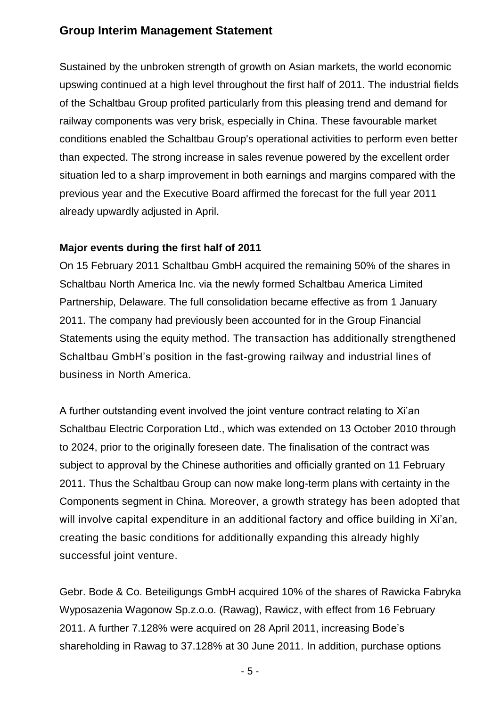# **Group Interim Management Statement**

Sustained by the unbroken strength of growth on Asian markets, the world economic upswing continued at a high level throughout the first half of 2011. The industrial fields of the Schaltbau Group profited particularly from this pleasing trend and demand for railway components was very brisk, especially in China. These favourable market conditions enabled the Schaltbau Group's operational activities to perform even better than expected. The strong increase in sales revenue powered by the excellent order situation led to a sharp improvement in both earnings and margins compared with the previous year and the Executive Board affirmed the forecast for the full year 2011 already upwardly adjusted in April.

## **Major events during the first half of 2011**

On 15 February 2011 Schaltbau GmbH acquired the remaining 50% of the shares in Schaltbau North America Inc. via the newly formed Schaltbau America Limited Partnership, Delaware. The full consolidation became effective as from 1 January 2011. The company had previously been accounted for in the Group Financial Statements using the equity method. The transaction has additionally strengthened Schaltbau GmbH"s position in the fast-growing railway and industrial lines of business in North America.

A further outstanding event involved the joint venture contract relating to Xi"an Schaltbau Electric Corporation Ltd., which was extended on 13 October 2010 through to 2024, prior to the originally foreseen date. The finalisation of the contract was subject to approval by the Chinese authorities and officially granted on 11 February 2011. Thus the Schaltbau Group can now make long-term plans with certainty in the Components segment in China. Moreover, a growth strategy has been adopted that will involve capital expenditure in an additional factory and office building in Xi'an, creating the basic conditions for additionally expanding this already highly successful joint venture.

Gebr. Bode & Co. Beteiligungs GmbH acquired 10% of the shares of Rawicka Fabryka Wyposazenia Wagonow Sp.z.o.o. (Rawag), Rawicz, with effect from 16 February 2011. A further 7.128% were acquired on 28 April 2011, increasing Bode"s shareholding in Rawag to 37.128% at 30 June 2011. In addition, purchase options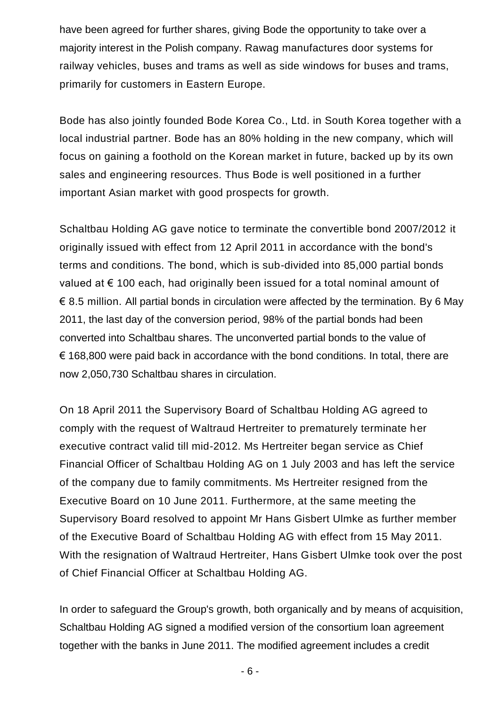have been agreed for further shares, giving Bode the opportunity to take over a majority interest in the Polish company. Rawag manufactures door systems for railway vehicles, buses and trams as well as side windows for buses and trams, primarily for customers in Eastern Europe.

Bode has also jointly founded Bode Korea Co., Ltd. in South Korea together with a local industrial partner. Bode has an 80% holding in the new company, which will focus on gaining a foothold on the Korean market in future, backed up by its own sales and engineering resources. Thus Bode is well positioned in a further important Asian market with good prospects for growth.

Schaltbau Holding AG gave notice to terminate the convertible bond 2007/2012 it originally issued with effect from 12 April 2011 in accordance with the bond's terms and conditions. The bond, which is sub-divided into 85,000 partial bonds valued at  $€$  100 each, had originally been issued for a total nominal amount of  $\epsilon$  8.5 million. All partial bonds in circulation were affected by the termination. By 6 May 2011, the last day of the conversion period, 98% of the partial bonds had been converted into Schaltbau shares. The unconverted partial bonds to the value of € 168,800 were paid back in accordance with the bond conditions. In total, there are now 2,050,730 Schaltbau shares in circulation.

On 18 April 2011 the Supervisory Board of Schaltbau Holding AG agreed to comply with the request of Waltraud Hertreiter to prematurely terminate her executive contract valid till mid-2012. Ms Hertreiter began service as Chief Financial Officer of Schaltbau Holding AG on 1 July 2003 and has left the service of the company due to family commitments. Ms Hertreiter resigned from the Executive Board on 10 June 2011. Furthermore, at the same meeting the Supervisory Board resolved to appoint Mr Hans Gisbert Ulmke as further member of the Executive Board of Schaltbau Holding AG with effect from 15 May 2011. With the resignation of Waltraud Hertreiter, Hans Gisbert Ulmke took over the post of Chief Financial Officer at Schaltbau Holding AG.

In order to safeguard the Group's growth, both organically and by means of acquisition, Schaltbau Holding AG signed a modified version of the consortium loan agreement together with the banks in June 2011. The modified agreement includes a credit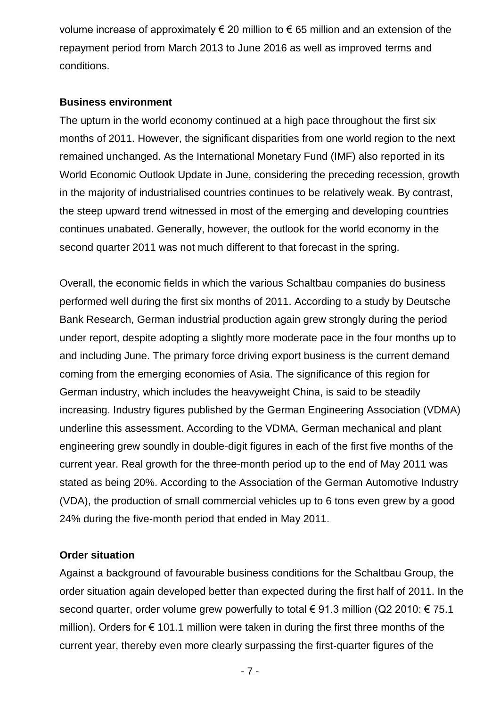volume increase of approximately  $\epsilon$  20 million to  $\epsilon$  65 million and an extension of the repayment period from March 2013 to June 2016 as well as improved terms and conditions.

### **Business environment**

The upturn in the world economy continued at a high pace throughout the first six months of 2011. However, the significant disparities from one world region to the next remained unchanged. As the International Monetary Fund (IMF) also reported in its World Economic Outlook Update in June, considering the preceding recession, growth in the majority of industrialised countries continues to be relatively weak. By contrast, the steep upward trend witnessed in most of the emerging and developing countries continues unabated. Generally, however, the outlook for the world economy in the second quarter 2011 was not much different to that forecast in the spring.

Overall, the economic fields in which the various Schaltbau companies do business performed well during the first six months of 2011. According to a study by Deutsche Bank Research, German industrial production again grew strongly during the period under report, despite adopting a slightly more moderate pace in the four months up to and including June. The primary force driving export business is the current demand coming from the emerging economies of Asia. The significance of this region for German industry, which includes the heavyweight China, is said to be steadily increasing. Industry figures published by the German Engineering Association (VDMA) underline this assessment. According to the VDMA, German mechanical and plant engineering grew soundly in double-digit figures in each of the first five months of the current year. Real growth for the three-month period up to the end of May 2011 was stated as being 20%. According to the Association of the German Automotive Industry (VDA), the production of small commercial vehicles up to 6 tons even grew by a good 24% during the five-month period that ended in May 2011.

# **Order situation**

Against a background of favourable business conditions for the Schaltbau Group, the order situation again developed better than expected during the first half of 2011. In the second quarter, order volume grew powerfully to total  $\epsilon$  91.3 million (Q2 2010:  $\epsilon$  75.1 million). Orders for  $\epsilon$  101.1 million were taken in during the first three months of the current year, thereby even more clearly surpassing the first-quarter figures of the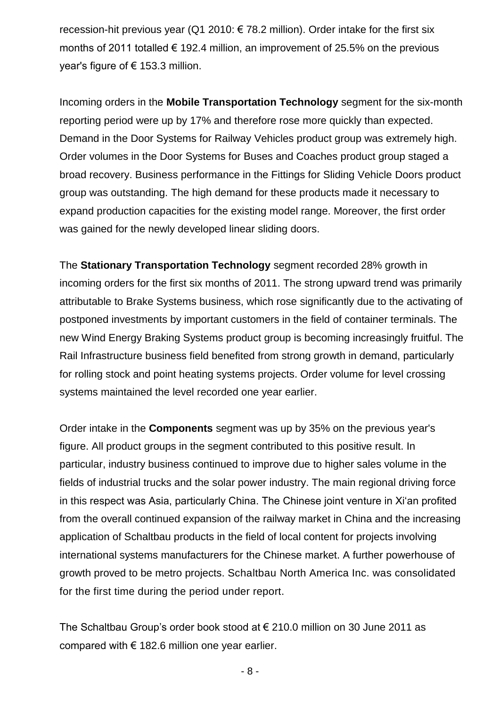recession-hit previous year (Q1 2010:  $\epsilon$  78.2 million). Order intake for the first six months of 2011 totalled  $\epsilon$  192.4 million, an improvement of 25.5% on the previous year's figure of  $\epsilon$  153.3 million.

Incoming orders in the **Mobile Transportation Technology** segment for the six-month reporting period were up by 17% and therefore rose more quickly than expected. Demand in the Door Systems for Railway Vehicles product group was extremely high. Order volumes in the Door Systems for Buses and Coaches product group staged a broad recovery. Business performance in the Fittings for Sliding Vehicle Doors product group was outstanding. The high demand for these products made it necessary to expand production capacities for the existing model range. Moreover, the first order was gained for the newly developed linear sliding doors.

The **Stationary Transportation Technology** segment recorded 28% growth in incoming orders for the first six months of 2011. The strong upward trend was primarily attributable to Brake Systems business, which rose significantly due to the activating of postponed investments by important customers in the field of container terminals. The new Wind Energy Braking Systems product group is becoming increasingly fruitful. The Rail Infrastructure business field benefited from strong growth in demand, particularly for rolling stock and point heating systems projects. Order volume for level crossing systems maintained the level recorded one year earlier.

Order intake in the **Components** segment was up by 35% on the previous year's figure. All product groups in the segment contributed to this positive result. In particular, industry business continued to improve due to higher sales volume in the fields of industrial trucks and the solar power industry. The main regional driving force in this respect was Asia, particularly China. The Chinese joint venture in Xi"an profited from the overall continued expansion of the railway market in China and the increasing application of Schaltbau products in the field of local content for projects involving international systems manufacturers for the Chinese market. A further powerhouse of growth proved to be metro projects. Schaltbau North America Inc. was consolidated for the first time during the period under report.

The Schaltbau Group"s order book stood at € 210.0 million on 30 June 2011 as compared with  $\epsilon$  182.6 million one year earlier.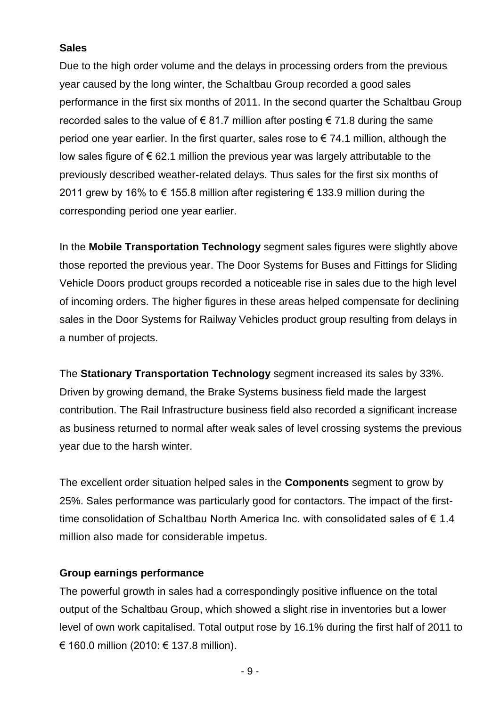# **Sales**

Due to the high order volume and the delays in processing orders from the previous year caused by the long winter, the Schaltbau Group recorded a good sales performance in the first six months of 2011. In the second quarter the Schaltbau Group recorded sales to the value of  $\epsilon$  81.7 million after posting  $\epsilon$  71.8 during the same period one year earlier. In the first quarter, sales rose to  $\epsilon$  74.1 million, although the low sales figure of  $\epsilon$  62.1 million the previous year was largely attributable to the previously described weather-related delays. Thus sales for the first six months of 2011 grew by 16% to  $\epsilon$  155.8 million after registering  $\epsilon$  133.9 million during the corresponding period one year earlier.

In the **Mobile Transportation Technology** segment sales figures were slightly above those reported the previous year. The Door Systems for Buses and Fittings for Sliding Vehicle Doors product groups recorded a noticeable rise in sales due to the high level of incoming orders. The higher figures in these areas helped compensate for declining sales in the Door Systems for Railway Vehicles product group resulting from delays in a number of projects.

The **Stationary Transportation Technology** segment increased its sales by 33%. Driven by growing demand, the Brake Systems business field made the largest contribution. The Rail Infrastructure business field also recorded a significant increase as business returned to normal after weak sales of level crossing systems the previous year due to the harsh winter.

The excellent order situation helped sales in the **Components** segment to grow by 25%. Sales performance was particularly good for contactors. The impact of the firsttime consolidation of Schaltbau North America Inc. with consolidated sales of € 1.4 million also made for considerable impetus.

## **Group earnings performance**

The powerful growth in sales had a correspondingly positive influence on the total output of the Schaltbau Group, which showed a slight rise in inventories but a lower level of own work capitalised. Total output rose by 16.1% during the first half of 2011 to € 160.0 million (2010: € 137.8 million).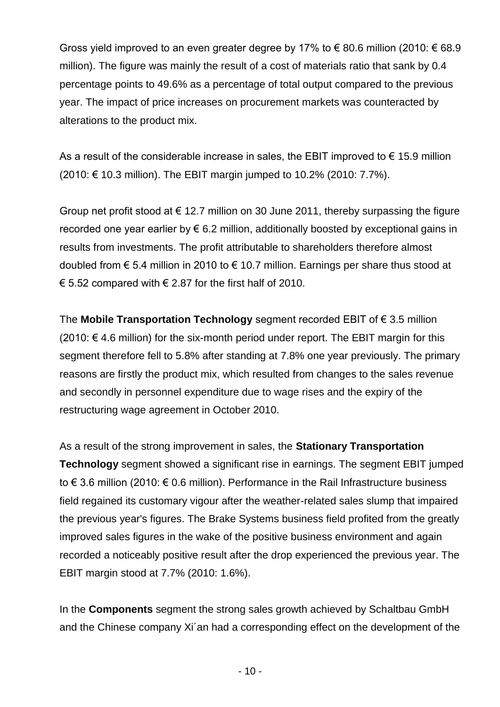Gross yield improved to an even greater degree by 17% to  $\epsilon$  80.6 million (2010:  $\epsilon$  68.9 million). The figure was mainly the result of a cost of materials ratio that sank by 0.4 percentage points to 49.6% as a percentage of total output compared to the previous year. The impact of price increases on procurement markets was counteracted by alterations to the product mix.

As a result of the considerable increase in sales, the EBIT improved to  $\epsilon$  15.9 million (2010: € 10.3 million). The EBIT margin jumped to 10.2% (2010: 7.7%).

Group net profit stood at  $\epsilon$  12.7 million on 30 June 2011, thereby surpassing the figure recorded one year earlier by  $\epsilon$  6.2 million, additionally boosted by exceptional gains in results from investments. The profit attributable to shareholders therefore almost doubled from € 5.4 million in 2010 to € 10.7 million. Earnings per share thus stood at € 5.52 compared with € 2.87 for the first half of 2010.

The **Mobile Transportation Technology** segment recorded EBIT of € 3.5 million  $(2010: \text{€ } 4.6 \text{ million})$  for the six-month period under report. The EBIT margin for this segment therefore fell to 5.8% after standing at 7.8% one year previously. The primary reasons are firstly the product mix, which resulted from changes to the sales revenue and secondly in personnel expenditure due to wage rises and the expiry of the restructuring wage agreement in October 2010.

As a result of the strong improvement in sales, the **Stationary Transportation Technology** segment showed a significant rise in earnings. The segment EBIT jumped to € 3.6 million (2010: € 0.6 million). Performance in the Rail Infrastructure business field regained its customary vigour after the weather-related sales slump that impaired the previous year's figures. The Brake Systems business field profited from the greatly improved sales figures in the wake of the positive business environment and again recorded a noticeably positive result after the drop experienced the previous year. The EBIT margin stood at 7.7% (2010: 1.6%).

In the **Components** segment the strong sales growth achieved by Schaltbau GmbH and the Chinese company Xi´an had a corresponding effect on the development of the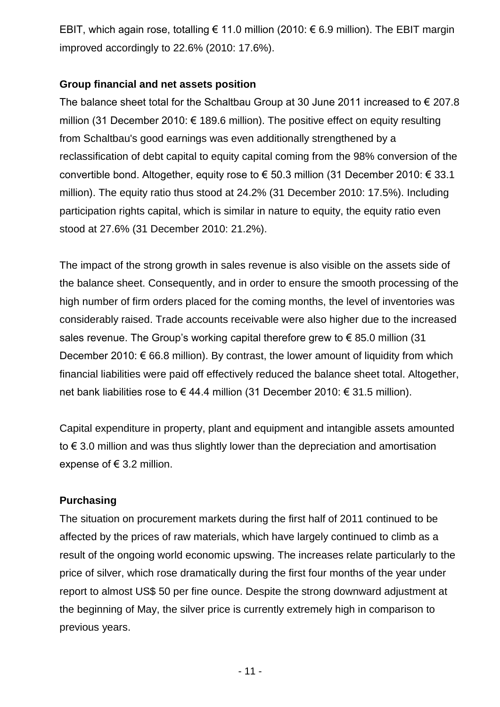EBIT, which again rose, totalling € 11.0 million (2010:  $€$  6.9 million). The EBIT margin improved accordingly to 22.6% (2010: 17.6%).

# **Group financial and net assets position**

The balance sheet total for the Schaltbau Group at 30 June 2011 increased to  $\epsilon$  207.8 million (31 December 2010: € 189.6 million). The positive effect on equity resulting from Schaltbau's good earnings was even additionally strengthened by a reclassification of debt capital to equity capital coming from the 98% conversion of the convertible bond. Altogether, equity rose to € 50.3 million (31 December 2010: € 33.1 million). The equity ratio thus stood at 24.2% (31 December 2010: 17.5%). Including participation rights capital, which is similar in nature to equity, the equity ratio even stood at 27.6% (31 December 2010: 21.2%).

The impact of the strong growth in sales revenue is also visible on the assets side of the balance sheet. Consequently, and in order to ensure the smooth processing of the high number of firm orders placed for the coming months, the level of inventories was considerably raised. Trade accounts receivable were also higher due to the increased sales revenue. The Group's working capital therefore grew to  $\epsilon$  85.0 million (31) December 2010:  $€$  66.8 million). By contrast, the lower amount of liquidity from which financial liabilities were paid off effectively reduced the balance sheet total. Altogether, net bank liabilities rose to € 44.4 million (31 December 2010: € 31.5 million).

Capital expenditure in property, plant and equipment and intangible assets amounted to € 3.0 million and was thus slightly lower than the depreciation and amortisation expense of  $\epsilon$  3.2 million.

# **Purchasing**

The situation on procurement markets during the first half of 2011 continued to be affected by the prices of raw materials, which have largely continued to climb as a result of the ongoing world economic upswing. The increases relate particularly to the price of silver, which rose dramatically during the first four months of the year under report to almost US\$ 50 per fine ounce. Despite the strong downward adjustment at the beginning of May, the silver price is currently extremely high in comparison to previous years.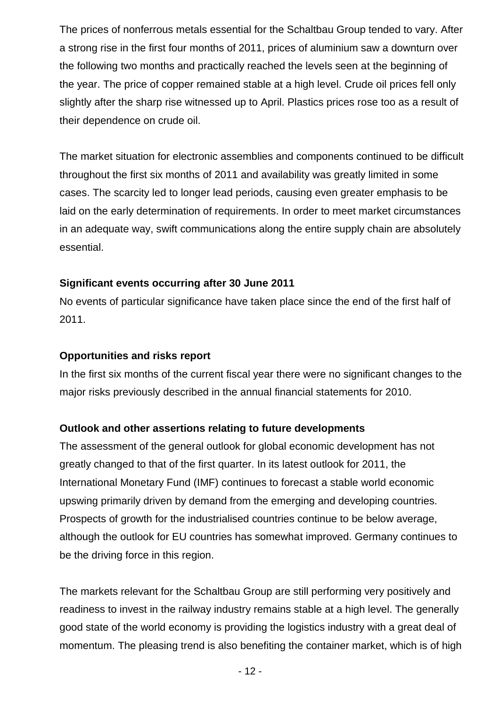The prices of nonferrous metals essential for the Schaltbau Group tended to vary. After a strong rise in the first four months of 2011, prices of aluminium saw a downturn over the following two months and practically reached the levels seen at the beginning of the year. The price of copper remained stable at a high level. Crude oil prices fell only slightly after the sharp rise witnessed up to April. Plastics prices rose too as a result of their dependence on crude oil.

The market situation for electronic assemblies and components continued to be difficult throughout the first six months of 2011 and availability was greatly limited in some cases. The scarcity led to longer lead periods, causing even greater emphasis to be laid on the early determination of requirements. In order to meet market circumstances in an adequate way, swift communications along the entire supply chain are absolutely essential.

# **Significant events occurring after 30 June 2011**

No events of particular significance have taken place since the end of the first half of 2011.

# **Opportunities and risks report**

In the first six months of the current fiscal year there were no significant changes to the major risks previously described in the annual financial statements for 2010.

# **Outlook and other assertions relating to future developments**

The assessment of the general outlook for global economic development has not greatly changed to that of the first quarter. In its latest outlook for 2011, the International Monetary Fund (IMF) continues to forecast a stable world economic upswing primarily driven by demand from the emerging and developing countries. Prospects of growth for the industrialised countries continue to be below average, although the outlook for EU countries has somewhat improved. Germany continues to be the driving force in this region.

The markets relevant for the Schaltbau Group are still performing very positively and readiness to invest in the railway industry remains stable at a high level. The generally good state of the world economy is providing the logistics industry with a great deal of momentum. The pleasing trend is also benefiting the container market, which is of high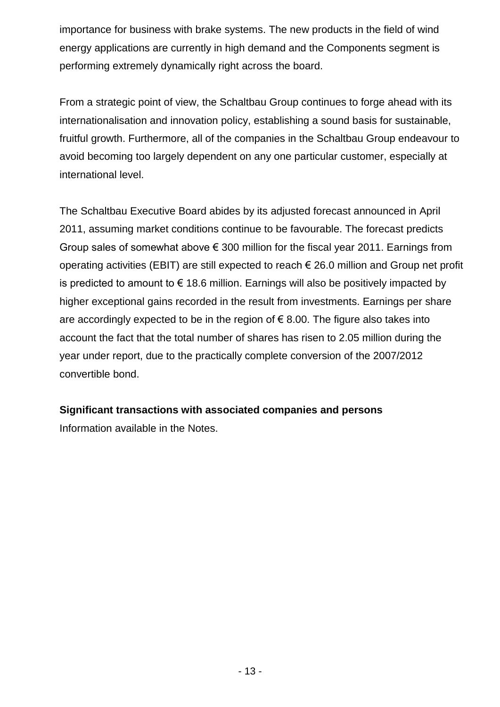importance for business with brake systems. The new products in the field of wind energy applications are currently in high demand and the Components segment is performing extremely dynamically right across the board.

From a strategic point of view, the Schaltbau Group continues to forge ahead with its internationalisation and innovation policy, establishing a sound basis for sustainable, fruitful growth. Furthermore, all of the companies in the Schaltbau Group endeavour to avoid becoming too largely dependent on any one particular customer, especially at international level.

The Schaltbau Executive Board abides by its adjusted forecast announced in April 2011, assuming market conditions continue to be favourable. The forecast predicts Group sales of somewhat above € 300 million for the fiscal year 2011. Earnings from operating activities (EBIT) are still expected to reach  $\epsilon$  26.0 million and Group net profit is predicted to amount to  $\epsilon$  18.6 million. Earnings will also be positively impacted by higher exceptional gains recorded in the result from investments. Earnings per share are accordingly expected to be in the region of  $\epsilon$  8.00. The figure also takes into account the fact that the total number of shares has risen to 2.05 million during the year under report, due to the practically complete conversion of the 2007/2012 convertible bond.

# **Significant transactions with associated companies and persons**

Information available in the Notes.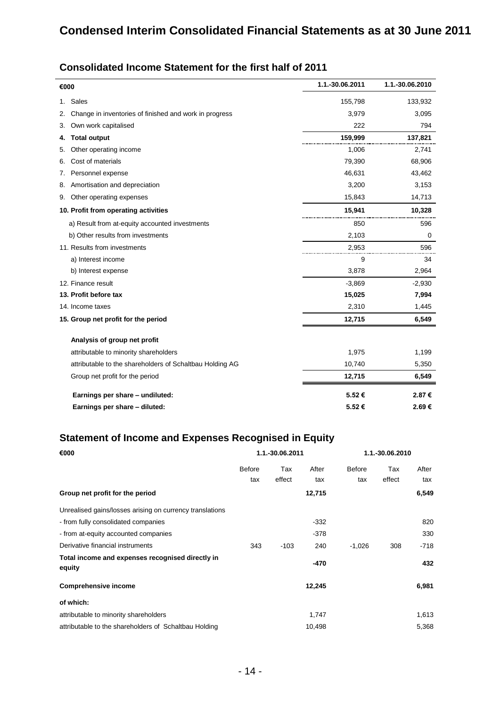# **Consolidated Income Statement for the first half of 2011**

l,

| €000                                                         | 1.1.-30.06.2011 | 1.1.-30.06.2010 |
|--------------------------------------------------------------|-----------------|-----------------|
| 1. Sales                                                     | 155,798         | 133,932         |
| Change in inventories of finished and work in progress<br>2. | 3,979           | 3,095           |
| Own work capitalised<br>3.                                   | 222             | 794             |
| <b>Total output</b><br>4.                                    | 159,999         | 137,821         |
| Other operating income<br>5.                                 | 1,006           | 2,741           |
| Cost of materials<br>6.                                      | 79,390          | 68,906          |
| Personnel expense<br>7.                                      | 46,631          | 43,462          |
| Amortisation and depreciation<br>8.                          | 3,200           | 3,153           |
| Other operating expenses<br>9.                               | 15,843          | 14,713          |
| 10. Profit from operating activities                         | 15,941          | 10,328          |
| a) Result from at-equity accounted investments               | 850             | 596             |
| b) Other results from investments                            | 2,103           | 0               |
| 11. Results from investments                                 | 2,953           | 596             |
| a) Interest income                                           | 9               | 34              |
| b) Interest expense                                          | 3,878           | 2,964           |
| 12. Finance result                                           | $-3,869$        | $-2,930$        |
| 13. Profit before tax                                        | 15,025          | 7,994           |
| 14. Income taxes                                             | 2,310           | 1,445           |
| 15. Group net profit for the period                          | 12,715          | 6,549           |
| Analysis of group net profit                                 |                 |                 |
| attributable to minority shareholders                        | 1,975           | 1,199           |
| attributable to the shareholders of Schaltbau Holding AG     | 10,740          | 5,350           |
| Group net profit for the period                              | 12,715          | 6,549           |
| Earnings per share - undiluted:                              | 5.52€           | 2.87€           |
| Earnings per share - diluted:                                | 5.52€           | 2.69€           |

# **Statement of Income and Expenses Recognised in Equity**

| €000                                                       | 1.1.-30.06.2011 |        |        | 1.1.-30.06.2010 |        |        |
|------------------------------------------------------------|-----------------|--------|--------|-----------------|--------|--------|
|                                                            | <b>Before</b>   | Tax    | After  | <b>Before</b>   | Tax    | After  |
|                                                            | tax             | effect | tax    | tax             | effect | tax    |
| Group net profit for the period                            |                 |        | 12,715 |                 |        | 6,549  |
| Unrealised gains/losses arising on currency translations   |                 |        |        |                 |        |        |
| - from fully consolidated companies                        |                 |        | $-332$ |                 |        | 820    |
| - from at-equity accounted companies                       |                 |        | -378   |                 |        | 330    |
| Derivative financial instruments                           | 343             | $-103$ | 240    | $-1,026$        | 308    | $-718$ |
| Total income and expenses recognised directly in<br>equity |                 |        | -470   |                 |        | 432    |
| <b>Comprehensive income</b>                                |                 |        | 12,245 |                 |        | 6,981  |
| of which:                                                  |                 |        |        |                 |        |        |
| attributable to minority shareholders                      |                 |        | 1,747  |                 |        | 1,613  |
| attributable to the shareholders of Schaltbau Holding      |                 |        | 10,498 |                 |        | 5,368  |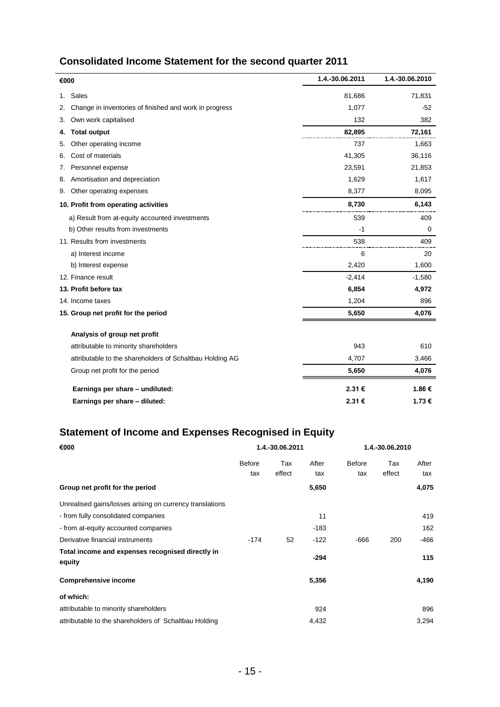# **Consolidated Income Statement for the second quarter 2011**

| €000 |                                                          | 1.4.-30.06.2011 | 1.4.-30.06.2010 |
|------|----------------------------------------------------------|-----------------|-----------------|
| 1.   | Sales                                                    | 81,686          | 71,831          |
| 2.   | Change in inventories of finished and work in progress   | 1,077           | $-52$           |
| 3.   | Own work capitalised                                     | 132             | 382             |
| 4.   | <b>Total output</b>                                      | 82,895          | 72,161          |
| 5.   | Other operating income                                   | 737             | 1,663           |
| 6.   | Cost of materials                                        | 41,305          | 36,116          |
| 7.   | Personnel expense                                        | 23,591          | 21,853          |
| 8.   | Amortisation and depreciation                            | 1,629           | 1,617           |
| 9.   | Other operating expenses                                 | 8,377           | 8,095           |
|      | 10. Profit from operating activities                     | 8,730           | 6,143           |
|      | a) Result from at-equity accounted investments           | 539             | 409             |
|      | b) Other results from investments                        | -1              | 0               |
|      | 11. Results from investments                             | 538             | 409             |
|      | a) Interest income                                       | 6               | 20              |
|      | b) Interest expense                                      | 2,420           | 1,600           |
|      | 12. Finance result                                       | $-2,414$        | $-1,580$        |
|      | 13. Profit before tax                                    | 6,854           | 4,972           |
|      | 14. Income taxes                                         | 1,204           | 896             |
|      | 15. Group net profit for the period                      | 5,650           | 4,076           |
|      | Analysis of group net profit                             |                 |                 |
|      | attributable to minority shareholders                    | 943             | 610             |
|      | attributable to the shareholders of Schaltbau Holding AG | 4,707           | 3,466           |
|      | Group net profit for the period                          | 5,650           | 4,076           |
|      | Earnings per share - undiluted:                          | 2.31€           | 1.86€           |
|      | Earnings per share - diluted:                            | 2.31€           | 1.73 €          |
|      |                                                          |                 |                 |

# **Statement of Income and Expenses Recognised in Equity**

| €000                                                       | 1.4.-30.06.2011      |               |              |                      | 1.4.-30.06.2010 |              |  |
|------------------------------------------------------------|----------------------|---------------|--------------|----------------------|-----------------|--------------|--|
|                                                            | <b>Before</b><br>tax | Tax<br>effect | After<br>tax | <b>Before</b><br>tax | Tax<br>effect   | After<br>tax |  |
| Group net profit for the period                            |                      |               | 5,650        |                      |                 | 4,075        |  |
| Unrealised gains/losses arising on currency translations   |                      |               |              |                      |                 |              |  |
| - from fully consolidated companies                        |                      |               | 11           |                      |                 | 419          |  |
| - from at-equity accounted companies                       |                      |               | $-183$       |                      |                 | 162          |  |
| Derivative financial instruments                           | $-174$               | 52            | $-122$       | -666                 | 200             | -466         |  |
| Total income and expenses recognised directly in<br>equity |                      |               | $-294$       |                      |                 | 115          |  |
| <b>Comprehensive income</b>                                |                      |               | 5,356        |                      |                 | 4,190        |  |
| of which:                                                  |                      |               |              |                      |                 |              |  |
| attributable to minority shareholders                      |                      |               | 924          |                      |                 | 896          |  |
| attributable to the shareholders of Schaltbau Holding      |                      |               | 4,432        |                      |                 | 3,294        |  |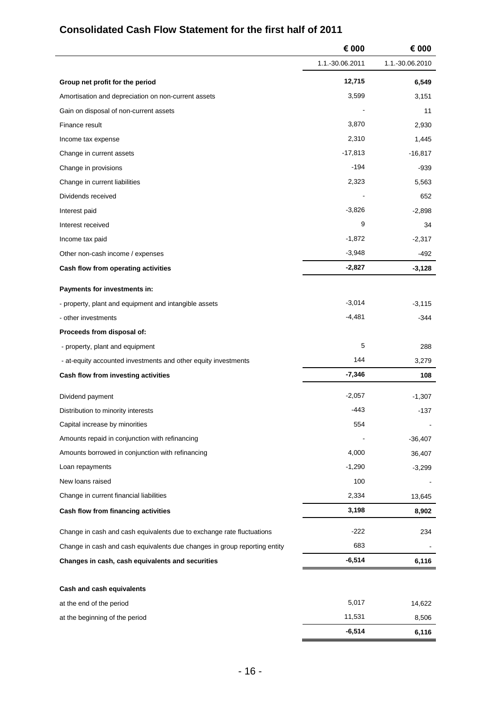# **Consolidated Cash Flow Statement for the first half of 2011**

|                                                                           | € 000              | € 000           |
|---------------------------------------------------------------------------|--------------------|-----------------|
|                                                                           | 1.1.-30.06.2011    | 1.1.-30.06.2010 |
| Group net profit for the period                                           | 12,715             | 6,549           |
| Amortisation and depreciation on non-current assets                       | 3,599              | 3,151           |
| Gain on disposal of non-current assets                                    |                    | 11              |
| Finance result                                                            | 3,870              | 2,930           |
| Income tax expense                                                        | 2,310              | 1,445           |
| Change in current assets                                                  | $-17,813$          | $-16,817$       |
| Change in provisions                                                      | $-194$             | $-939$          |
| Change in current liabilities                                             | 2,323              | 5,563           |
| Dividends received                                                        |                    | 652             |
| Interest paid                                                             | $-3,826$           | $-2,898$        |
| Interest received                                                         | 9                  | 34              |
| Income tax paid                                                           | $-1,872$           | $-2,317$        |
| Other non-cash income / expenses                                          | $-3,948$           | $-492$          |
| Cash flow from operating activities                                       | $-2,827$           | $-3,128$        |
| Payments for investments in:                                              |                    |                 |
| - property, plant and equipment and intangible assets                     | $-3,014$           | $-3,115$        |
| - other investments                                                       | $-4,481$           | $-344$          |
| Proceeds from disposal of:                                                |                    |                 |
| - property, plant and equipment                                           | 5                  | 288             |
| - at-equity accounted investments and other equity investments            | 144                | 3,279           |
| Cash flow from investing activities                                       | $-7,346$           | 108             |
| Dividend payment                                                          | $-2,057$           | $-1,307$        |
| Distribution to minority interests                                        | -443               | $-137$          |
| Capital increase by minorities                                            | 554                |                 |
| Amounts repaid in conjunction with refinancing                            |                    | $-36,407$       |
| Amounts borrowed in conjunction with refinancing                          | 4,000              | 36,407          |
| Loan repayments                                                           | $-1,290$           | $-3,299$        |
| New loans raised                                                          | 100                |                 |
| Change in current financial liabilities                                   | 2,334              | 13,645          |
| Cash flow from financing activities                                       | 3,198              | 8,902           |
| Change in cash and cash equivalents due to exchange rate fluctuations     | $-222$             | 234             |
| Change in cash and cash equivalents due changes in group reporting entity | 683                |                 |
| Changes in cash, cash equivalents and securities                          | $-6,514$           | 6,116           |
|                                                                           |                    |                 |
| Cash and cash equivalents                                                 |                    |                 |
| at the end of the period                                                  | 5,017              | 14,622          |
| at the beginning of the period                                            | 11,531<br>$-6,514$ | 8,506<br>6,116  |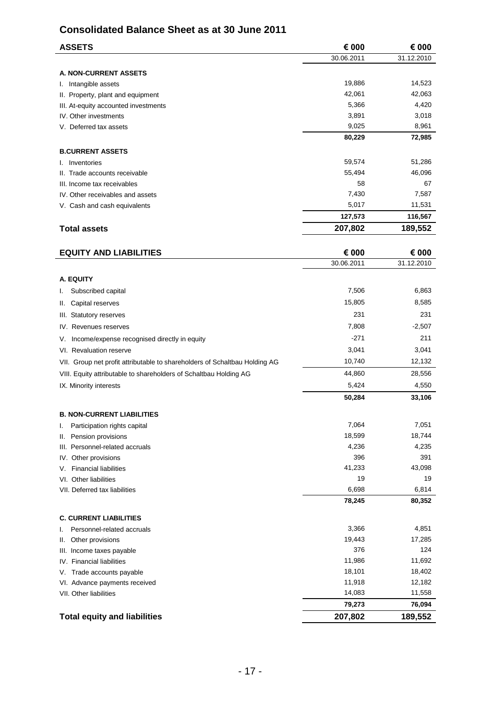## **Consolidated Balance Sheet as at 30 June 2011**

| <b>ASSETS</b>                                                              | € 000      | € 000      |
|----------------------------------------------------------------------------|------------|------------|
|                                                                            | 30.06.2011 | 31.12.2010 |
| <b>A. NON-CURRENT ASSETS</b>                                               |            |            |
| I. Intangible assets                                                       | 19,886     | 14,523     |
| II. Property, plant and equipment                                          | 42,061     | 42,063     |
| III. At-equity accounted investments                                       | 5,366      | 4,420      |
| IV. Other investments                                                      | 3,891      | 3,018      |
| V. Deferred tax assets                                                     | 9,025      | 8,961      |
|                                                                            | 80,229     | 72,985     |
| <b>B.CURRENT ASSETS</b>                                                    |            |            |
| I. Inventories                                                             | 59,574     | 51,286     |
| II. Trade accounts receivable                                              | 55,494     | 46,096     |
| III. Income tax receivables                                                | 58         | 67         |
| IV. Other receivables and assets                                           | 7,430      | 7,587      |
| V. Cash and cash equivalents                                               | 5,017      | 11,531     |
|                                                                            | 127,573    | 116,567    |
| <b>Total assets</b>                                                        | 207,802    | 189,552    |
|                                                                            |            |            |
| <b>EQUITY AND LIABILITIES</b>                                              | € 000      | € 000      |
|                                                                            | 30.06.2011 | 31.12.2010 |
|                                                                            |            |            |
| A. EQUITY                                                                  |            |            |
| Subscribed capital<br>I.                                                   | 7,506      | 6,863      |
| II. Capital reserves                                                       | 15,805     | 8,585      |
| III. Statutory reserves                                                    | 231        | 231        |
| IV. Revenues reserves                                                      | 7,808      | $-2,507$   |
| V. Income/expense recognised directly in equity                            | $-271$     | 211        |
| VI. Revaluation reserve                                                    | 3,041      | 3,041      |
| VII. Group net profit attributable to shareholders of Schaltbau Holding AG | 10,740     | 12,132     |
| VIII. Equity attributable to shareholders of Schaltbau Holding AG          | 44,860     | 28,556     |
| IX. Minority interests                                                     | 5,424      | 4,550      |
|                                                                            | 50,284     | 33,106     |
|                                                                            |            |            |
| <b>B. NON-CURRENT LIABILITIES</b>                                          |            |            |
| Participation rights capital<br>I.                                         | 7,064      | 7,051      |
| Pension provisions<br>Ш.                                                   | 18,599     | 18,744     |
| III. Personnel-related accruals                                            | 4,236      | 4,235      |
| IV. Other provisions                                                       | 396        | 391        |
| V. Financial liabilities                                                   | 41,233     | 43,098     |
| VI. Other liabilities                                                      | 19         | 19         |
| VII. Deferred tax liabilities                                              | 6,698      | 6,814      |
|                                                                            | 78,245     | 80,352     |
| <b>C. CURRENT LIABILITIES</b>                                              |            |            |
| Personnel-related accruals<br>I.                                           | 3,366      | 4,851      |
| II. Other provisions                                                       | 19,443     | 17,285     |
| III. Income taxes payable                                                  | 376        | 124        |
| IV. Financial liabilities                                                  | 11,986     | 11,692     |
| V. Trade accounts payable                                                  | 18,101     | 18,402     |
| VI. Advance payments received                                              | 11,918     | 12,182     |
| VII. Other liabilities                                                     | 14,083     | 11,558     |
|                                                                            | 79,273     | 76,094     |

# **Total equity and liabilities 207,802 189,552**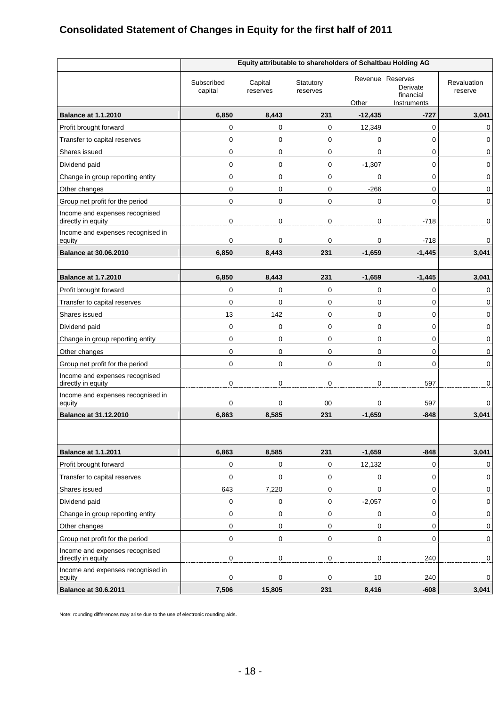# **Consolidated Statement of Changes in Equity for the first half of 2011**

|                                                      | Equity attributable to shareholders of Schaltbau Holding AG |                     |                       |              |                                                          |                        |
|------------------------------------------------------|-------------------------------------------------------------|---------------------|-----------------------|--------------|----------------------------------------------------------|------------------------|
|                                                      | Subscribed<br>capital                                       | Capital<br>reserves | Statutory<br>reserves | Other        | Revenue Reserves<br>Derivate<br>financial<br>Instruments | Revaluation<br>reserve |
| <b>Balance at 1.1.2010</b>                           | 6,850                                                       | 8,443               | 231                   | $-12,435$    | $-727$                                                   | 3,041                  |
| Profit brought forward                               | 0                                                           | 0                   | 0                     | 12,349       | 0                                                        | 0                      |
| Transfer to capital reserves                         | 0                                                           | $\mathbf 0$         | $\mathbf 0$           | $\mathbf 0$  | 0                                                        | 0                      |
| Shares issued                                        | 0                                                           | $\mathbf 0$         | $\mathbf 0$           | $\mathbf 0$  | $\mathbf 0$                                              | 0                      |
| Dividend paid                                        | $\mathbf 0$                                                 | 0                   | $\mathbf 0$           | $-1,307$     | 0                                                        | 0                      |
| Change in group reporting entity                     | 0                                                           | 0                   | 0                     | 0            | 0                                                        | 0                      |
| Other changes                                        | $\mathbf 0$                                                 | 0                   | $\mathbf 0$           | $-266$       | 0                                                        | 0                      |
| Group net profit for the period                      | $\mathbf 0$                                                 | $\mathbf 0$         | $\Omega$              | $\mathbf{0}$ | $\Omega$                                                 | 0                      |
| Income and expenses recognised<br>directly in equity | 0                                                           | $\mathbf 0$         | $\mathbf 0$           | $\mathbf{0}$ | $-718$                                                   | 0                      |
| Income and expenses recognised in<br>equity          | 0                                                           | 0                   | $\mathbf 0$           | $\mathbf 0$  | $-718$                                                   | 0                      |
| <b>Balance at 30.06.2010</b>                         | 6,850                                                       | 8,443               | 231                   | $-1,659$     | $-1,445$                                                 | 3,041                  |
| <b>Balance at 1.7.2010</b>                           | 6,850                                                       | 8,443               | 231                   | $-1,659$     | $-1,445$                                                 | 3,041                  |
| Profit brought forward                               | 0                                                           | 0                   | 0                     | 0            | 0                                                        | 0                      |
| Transfer to capital reserves                         | 0                                                           | $\mathbf 0$         | $\mathbf 0$           | $\mathbf 0$  | 0                                                        | 0                      |
| Shares issued                                        | 13                                                          | 142                 | $\Omega$              | $\mathbf 0$  | 0                                                        | 0                      |
| Dividend paid                                        | 0                                                           | 0                   | $\mathbf 0$           | $\Omega$     | 0                                                        | 0                      |
| Change in group reporting entity                     | 0                                                           | 0                   | $\mathbf 0$           | $\mathbf 0$  | 0                                                        | 0                      |
| Other changes                                        | 0                                                           | 0                   | 0                     | 0            | 0                                                        | 0                      |
| Group net profit for the period                      | 0                                                           | 0                   | $\mathbf 0$           | $\mathbf 0$  | $\mathbf 0$                                              | 0                      |
| Income and expenses recognised<br>directly in equity | 0                                                           | $\mathbf 0$         | $\Omega$              | $\mathbf 0$  | 597                                                      | $\mathbf 0$            |
| Income and expenses recognised in<br>equity          | 0                                                           | 0                   | 00                    | 0            | 597                                                      | 0                      |
| <b>Balance at 31.12.2010</b>                         | 6,863                                                       | 8,585               | 231                   | $-1,659$     | $-848$                                                   | 3,041                  |
|                                                      |                                                             |                     |                       |              |                                                          |                        |
| <b>Balance at 1.1.2011</b>                           | 6,863                                                       | 8,585               | 231                   | $-1,659$     | $-848$                                                   | 3,041                  |
| Profit brought forward                               | 0                                                           | 0                   | $\mathbf 0$           | 12,132       | 0                                                        | 0                      |
| Transfer to capital reserves                         | 0                                                           | $\mathbf 0$         | $\mathbf 0$           | $\mathbf 0$  | $\mathbf 0$                                              | 0                      |
| Shares issued                                        | 643                                                         | 7,220               | $\mathbf 0$           | $\mathbf 0$  | $\mathbf 0$                                              | 0                      |
| Dividend paid                                        | $\mathsf{O}$                                                | $\mathsf 0$         | $\mathbf 0$           | $-2,057$     | $\mathbf 0$                                              | 0                      |
| Change in group reporting entity                     | 0                                                           | $\pmb{0}$           | $\mathbf 0$           | $\mathbf 0$  | $\mathsf{O}$                                             | $\mathbf 0$            |
| Other changes                                        | 0                                                           | $\mathsf 0$         | $\mathbf 0$           | $\mathbf 0$  | 0                                                        | 0                      |
| Group net profit for the period                      | 0                                                           | $\mathsf 0$         | $\mathsf 0$           | $\mathbf 0$  | $\mathbf 0$                                              | $\mathbf 0$            |
| Income and expenses recognised<br>directly in equity | $\mathbf 0$                                                 | $\pmb{0}$           | $\mathsf 0$           | $\pmb{0}$    | 240                                                      | $\mathsf 0$            |
| Income and expenses recognised in<br>equity          | 0                                                           | 0                   | 0                     | 10           | 240                                                      | 0                      |
| <b>Balance at 30.6.2011</b>                          | 7,506                                                       | 15,805              | 231                   | 8,416        | $-608$                                                   | 3,041                  |

Note: rounding differences may arise due to the use of electronic rounding aids.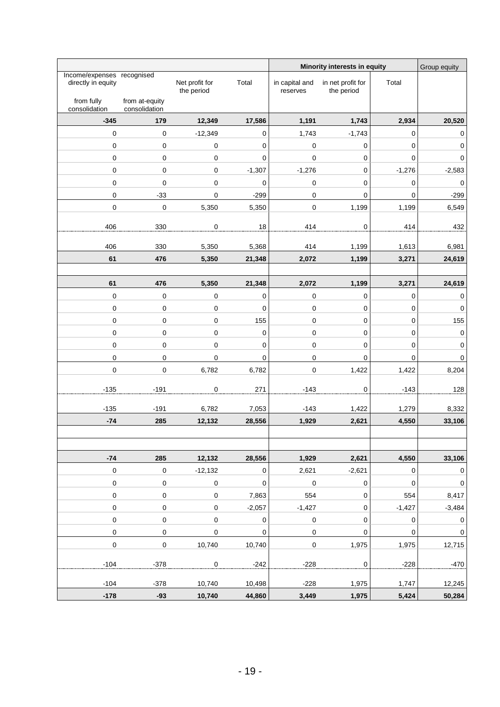|                                                  |                                 |                              |                 | Minority interests in equity |                                 | Group equity     |                 |
|--------------------------------------------------|---------------------------------|------------------------------|-----------------|------------------------------|---------------------------------|------------------|-----------------|
| Income/expenses recognised<br>directly in equity |                                 | Net profit for<br>the period | Total           | in capital and<br>reserves   | in net profit for<br>the period | Total            |                 |
| from fully<br>consolidation                      | from at-equity<br>consolidation |                              |                 |                              |                                 |                  |                 |
| $-345$                                           | 179                             | 12,349                       | 17,586          | 1,191                        | 1,743                           | 2,934            | 20,520          |
| $\pmb{0}$                                        | $\mathbf 0$                     | $-12,349$                    | $\mathbf 0$     | 1,743                        | $-1,743$                        | 0                | 0               |
| $\pmb{0}$                                        | $\boldsymbol{0}$                | $\pmb{0}$                    | $\pmb{0}$       | $\pmb{0}$                    | 0                               | $\pmb{0}$        | 0               |
| $\pmb{0}$                                        | $\mathbf 0$                     | $\mathbf 0$                  | $\mathbf 0$     | $\pmb{0}$                    | $\pmb{0}$                       | $\mathsf 0$      | $\pmb{0}$       |
| $\mathbf 0$                                      | $\mathbf 0$                     | $\mathbf 0$                  | $-1,307$        | $-1,276$                     | $\mathbf 0$                     | $-1,276$         | $-2,583$        |
| $\mathbf 0$                                      | 0                               | $\mathbf 0$                  | $\mathbf 0$     | $\mathbf 0$                  | 0                               | $\pmb{0}$        | $\pmb{0}$       |
| $\mathbf 0$                                      | $-33$                           | $\mathbf 0$                  | $-299$          | $\pmb{0}$                    | 0                               | $\pmb{0}$        | $-299$          |
| $\pmb{0}$                                        | $\boldsymbol{0}$                | 5,350                        | 5,350           | $\pmb{0}$                    | 1,199                           | 1,199            | 6,549           |
| 406                                              | 330                             | $\pmb{0}$                    | 18              | 414                          | $\mathbf 0$                     | 414              | 432             |
|                                                  |                                 |                              |                 |                              |                                 |                  |                 |
| 406<br>61                                        | 330<br>476                      | 5,350<br>5,350               | 5,368<br>21,348 | 414<br>2,072                 | 1,199<br>1,199                  | 1,613<br>3,271   | 6,981<br>24,619 |
|                                                  |                                 |                              |                 |                              |                                 |                  |                 |
| 61                                               | 476                             | 5,350                        | 21,348          | 2,072                        | 1,199                           | 3,271            | 24,619          |
| $\pmb{0}$                                        | $\boldsymbol{0}$                | $\pmb{0}$                    | $\pmb{0}$       | $\pmb{0}$                    | 0                               | $\boldsymbol{0}$ | $\pmb{0}$       |
| $\pmb{0}$                                        | 0                               | $\pmb{0}$                    | $\pmb{0}$       | $\pmb{0}$                    | 0                               | 0                | $\pmb{0}$       |
| $\pmb{0}$                                        | $\mathbf 0$                     | 0                            | 155             | 0                            | 0                               | 0                | 155             |
| $\mathbf 0$                                      | $\mathbf 0$                     | $\pmb{0}$                    | $\mathbf 0$     | 0                            | 0                               | 0                | $\pmb{0}$       |
| $\pmb{0}$                                        | 0                               | $\pmb{0}$                    | $\mathbf 0$     | 0                            | 0                               | 0                | 0               |
| $\mathbf 0$                                      | $\pmb{0}$                       | $\pmb{0}$                    | $\pmb{0}$       | $\pmb{0}$                    | 0                               | $\mathbf 0$      | $\pmb{0}$       |
| $\pmb{0}$                                        | $\mathbf 0$                     | 6,782                        | 6,782           | $\mathbf 0$                  | 1,422                           | 1,422            | 8,204           |
|                                                  |                                 |                              |                 |                              |                                 |                  |                 |
| $-135$                                           | $-191$                          | $\pmb{0}$                    | 271             | $-143$                       | $\pmb{0}$                       | $-143$           | 128             |
| $-135$                                           | $-191$                          | 6,782                        | 7,053           | $-143$                       | 1,422                           | 1,279            | 8,332           |
| $-74$                                            | 285                             | 12,132                       | 28,556          | 1,929                        | 2,621                           | 4,550            | 33,106          |
|                                                  |                                 |                              |                 |                              |                                 |                  |                 |
|                                                  |                                 |                              |                 |                              |                                 |                  |                 |
| $-74$                                            | 285                             | 12,132                       | 28,556          | 1,929                        | 2,621                           | 4,550            | 33,106          |
| $\pmb{0}$                                        | $\pmb{0}$                       | $-12,132$                    | 0               | 2,621                        | $-2,621$                        | 0                | 0               |
| $\pmb{0}$                                        | $\pmb{0}$                       | $\pmb{0}$                    | $\pmb{0}$       | $\pmb{0}$                    | 0                               | 0                | 0               |
| $\pmb{0}$                                        | 0                               | $\pmb{0}$                    | 7,863           | 554                          | 0                               | 554              | 8,417           |
| $\pmb{0}$                                        | $\pmb{0}$                       | $\pmb{0}$                    | $-2,057$        | $-1,427$                     | 0                               | $-1,427$         | $-3,484$        |
| $\pmb{0}$                                        | 0                               | $\pmb{0}$                    | $\pmb{0}$       | 0                            | 0                               | 0                | $\pmb{0}$       |
| $\pmb{0}$                                        | 0                               | $\mathbf 0$                  | 0               | 0                            | 0                               | 0                | 0               |
| $\pmb{0}$                                        | $\mathbf 0$                     | 10,740                       | 10,740          | $\pmb{0}$                    | 1,975                           | 1,975            | 12,715          |
| $-104$                                           | $-378$                          | $\pmb{0}$                    | $-242$          | $-228$                       | $\mathbf 0$                     | $-228$           | $-470$          |
|                                                  |                                 |                              |                 |                              |                                 |                  |                 |
| $-104$                                           | $-378$                          | 10,740                       | 10,498          | $-228$                       | 1,975                           | 1,747            | 12,245          |
| $-178$                                           | $-93$                           | 10,740                       | 44,860          | 3,449                        | 1,975                           | 5,424            | 50,284          |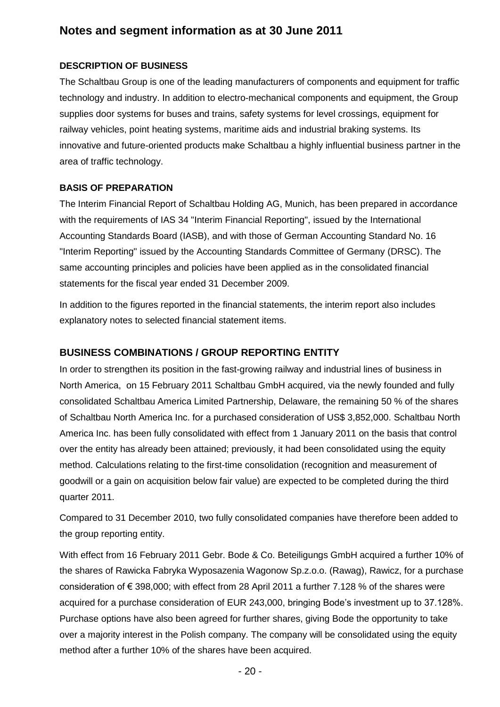# **Notes and segment information as at 30 June 2011**

### **DESCRIPTION OF BUSINESS**

The Schaltbau Group is one of the leading manufacturers of components and equipment for traffic technology and industry. In addition to electro-mechanical components and equipment, the Group supplies door systems for buses and trains, safety systems for level crossings, equipment for railway vehicles, point heating systems, maritime aids and industrial braking systems. Its innovative and future-oriented products make Schaltbau a highly influential business partner in the area of traffic technology.

### **BASIS OF PREPARATION**

The Interim Financial Report of Schaltbau Holding AG, Munich, has been prepared in accordance with the requirements of IAS 34 "Interim Financial Reporting", issued by the International Accounting Standards Board (IASB), and with those of German Accounting Standard No. 16 "Interim Reporting" issued by the Accounting Standards Committee of Germany (DRSC). The same accounting principles and policies have been applied as in the consolidated financial statements for the fiscal year ended 31 December 2009.

In addition to the figures reported in the financial statements, the interim report also includes explanatory notes to selected financial statement items.

### **BUSINESS COMBINATIONS / GROUP REPORTING ENTITY**

In order to strengthen its position in the fast-growing railway and industrial lines of business in North America, on 15 February 2011 Schaltbau GmbH acquired, via the newly founded and fully consolidated Schaltbau America Limited Partnership, Delaware, the remaining 50 % of the shares of Schaltbau North America Inc. for a purchased consideration of US\$ 3,852,000. Schaltbau North America Inc. has been fully consolidated with effect from 1 January 2011 on the basis that control over the entity has already been attained; previously, it had been consolidated using the equity method. Calculations relating to the first-time consolidation (recognition and measurement of goodwill or a gain on acquisition below fair value) are expected to be completed during the third quarter 2011.

Compared to 31 December 2010, two fully consolidated companies have therefore been added to the group reporting entity.

With effect from 16 February 2011 Gebr. Bode & Co. Beteiligungs GmbH acquired a further 10% of the shares of Rawicka Fabryka Wyposazenia Wagonow Sp.z.o.o. (Rawag), Rawicz, for a purchase consideration of  $\epsilon$  398,000; with effect from 28 April 2011 a further 7.128 % of the shares were acquired for a purchase consideration of EUR 243,000, bringing Bode"s investment up to 37.128%. Purchase options have also been agreed for further shares, giving Bode the opportunity to take over a majority interest in the Polish company. The company will be consolidated using the equity method after a further 10% of the shares have been acquired.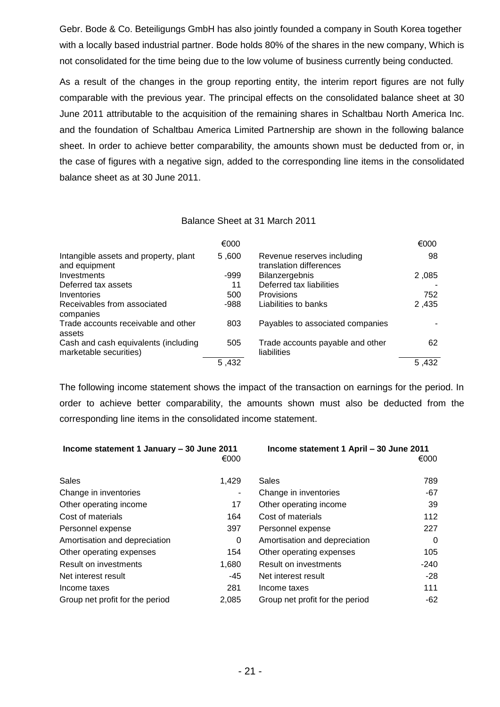Gebr. Bode & Co. Beteiligungs GmbH has also jointly founded a company in South Korea together with a locally based industrial partner. Bode holds 80% of the shares in the new company, Which is not consolidated for the time being due to the low volume of business currently being conducted.

As a result of the changes in the group reporting entity, the interim report figures are not fully comparable with the previous year. The principal effects on the consolidated balance sheet at 30 June 2011 attributable to the acquisition of the remaining shares in Schaltbau North America Inc. and the foundation of Schaltbau America Limited Partnership are shown in the following balance sheet. In order to achieve better comparability, the amounts shown must be deducted from or, in the case of figures with a negative sign, added to the corresponding line items in the consolidated balance sheet as at 30 June 2011.

#### Balance Sheet at 31 March 2011

|                                                                | €000  |                                                       | €000  |
|----------------------------------------------------------------|-------|-------------------------------------------------------|-------|
| Intangible assets and property, plant<br>and equipment         | 5,600 | Revenue reserves including<br>translation differences | 98    |
| Investments                                                    | -999  | Bilanzergebnis                                        | 2,085 |
| Deferred tax assets                                            | 11    | Deferred tax liabilities                              |       |
| Inventories                                                    | 500   | Provisions                                            | 752   |
| Receivables from associated<br>companies                       | -988  | Liabilities to banks                                  | 2,435 |
| Trade accounts receivable and other<br>assets                  | 803   | Payables to associated companies                      |       |
| Cash and cash equivalents (including<br>marketable securities) | 505   | Trade accounts payable and other<br>liabilities       | 62    |
|                                                                | 5,432 |                                                       | 5.432 |

The following income statement shows the impact of the transaction on earnings for the period. In order to achieve better comparability, the amounts shown must also be deducted from the corresponding line items in the consolidated income statement.

| Income statement 1 January - 30 June 2011 | €000  | Income statement 1 April - 30 June 2011 |        |  |
|-------------------------------------------|-------|-----------------------------------------|--------|--|
| <b>Sales</b>                              | 1,429 | Sales                                   | 789    |  |
| Change in inventories                     | ٠     | Change in inventories                   | -67    |  |
| Other operating income                    | 17    | Other operating income                  | 39     |  |
| Cost of materials                         | 164   | Cost of materials                       | 112    |  |
| Personnel expense                         | 397   | Personnel expense                       | 227    |  |
| Amortisation and depreciation             | 0     | Amortisation and depreciation           | 0      |  |
| Other operating expenses                  | 154   | Other operating expenses                | 105    |  |
| Result on investments                     | 1,680 | Result on investments                   | $-240$ |  |
| Net interest result                       | -45   | Net interest result                     | $-28$  |  |
| Income taxes                              | 281   | Income taxes                            | 111    |  |
| Group net profit for the period           | 2,085 | Group net profit for the period         | -62    |  |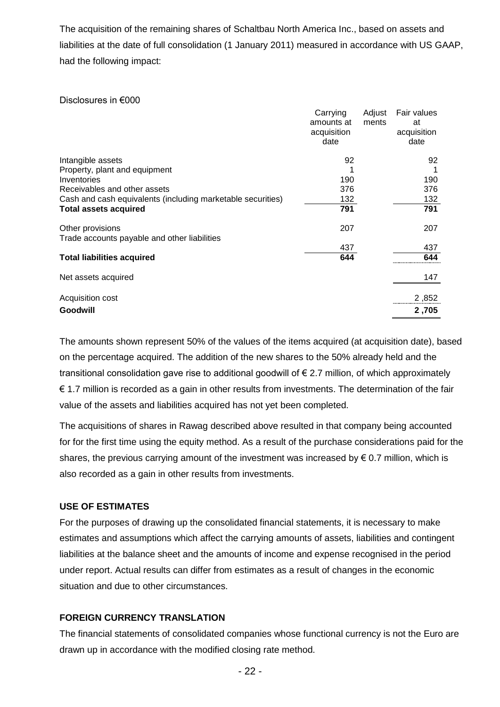The acquisition of the remaining shares of Schaltbau North America Inc., based on assets and liabilities at the date of full consolidation (1 January 2011) measured in accordance with US GAAP, had the following impact:

#### Disclosures in €000

|                                                             | Carrying    | Adjust | Fair values |
|-------------------------------------------------------------|-------------|--------|-------------|
|                                                             | amounts at  | ments  | at          |
|                                                             | acquisition |        | acquisition |
|                                                             | date        |        | date        |
| Intangible assets                                           | 92          |        | 92          |
| Property, plant and equipment                               |             |        |             |
| Inventories                                                 | 190         |        | 190         |
| Receivables and other assets                                | 376         |        | 376         |
| Cash and cash equivalents (including marketable securities) | 132         |        | 132         |
| <b>Total assets acquired</b>                                | 791         |        | 791         |
| Other provisions                                            | 207         |        | 207         |
| Trade accounts payable and other liabilities                |             |        |             |
|                                                             | 437         |        | 437         |
| <b>Total liabilities acquired</b>                           | 644         |        | 644         |
| Net assets acquired                                         |             |        | 147         |
| Acquisition cost                                            |             |        | 2,852       |
| Goodwill                                                    |             |        | 2,705       |

The amounts shown represent 50% of the values of the items acquired (at acquisition date), based on the percentage acquired. The addition of the new shares to the 50% already held and the transitional consolidation gave rise to additional goodwill of € 2.7 million, of which approximately € 1.7 million is recorded as a gain in other results from investments. The determination of the fair value of the assets and liabilities acquired has not yet been completed.

The acquisitions of shares in Rawag described above resulted in that company being accounted for for the first time using the equity method. As a result of the purchase considerations paid for the shares, the previous carrying amount of the investment was increased by  $\epsilon$  0.7 million, which is also recorded as a gain in other results from investments.

### **USE OF ESTIMATES**

For the purposes of drawing up the consolidated financial statements, it is necessary to make estimates and assumptions which affect the carrying amounts of assets, liabilities and contingent liabilities at the balance sheet and the amounts of income and expense recognised in the period under report. Actual results can differ from estimates as a result of changes in the economic situation and due to other circumstances.

### **FOREIGN CURRENCY TRANSLATION**

The financial statements of consolidated companies whose functional currency is not the Euro are drawn up in accordance with the modified closing rate method.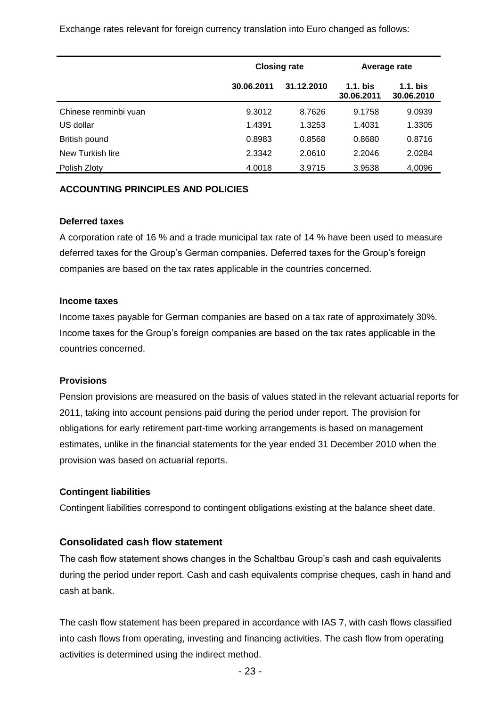Exchange rates relevant for foreign currency translation into Euro changed as follows:

|                       |            | <b>Closing rate</b> | Average rate             |                          |  |
|-----------------------|------------|---------------------|--------------------------|--------------------------|--|
|                       | 30.06.2011 | 31.12.2010          | $1.1.$ bis<br>30.06.2011 | $1.1.$ bis<br>30.06.2010 |  |
| Chinese renminbi yuan | 9.3012     | 8.7626              | 9.1758                   | 9.0939                   |  |
| US dollar             | 1.4391     | 1.3253              | 1.4031                   | 1.3305                   |  |
| British pound         | 0.8983     | 0.8568              | 0.8680                   | 0.8716                   |  |
| New Turkish lire      | 2.3342     | 2.0610              | 2.2046                   | 2.0284                   |  |
| Polish Zloty          | 4.0018     | 3.9715              | 3.9538                   | 4.0096                   |  |

#### **ACCOUNTING PRINCIPLES AND POLICIES**

#### **Deferred taxes**

A corporation rate of 16 % and a trade municipal tax rate of 14 % have been used to measure deferred taxes for the Group"s German companies. Deferred taxes for the Group"s foreign companies are based on the tax rates applicable in the countries concerned.

#### **Income taxes**

Income taxes payable for German companies are based on a tax rate of approximately 30%. Income taxes for the Group"s foreign companies are based on the tax rates applicable in the countries concerned.

#### **Provisions**

Pension provisions are measured on the basis of values stated in the relevant actuarial reports for 2011, taking into account pensions paid during the period under report. The provision for obligations for early retirement part-time working arrangements is based on management estimates, unlike in the financial statements for the year ended 31 December 2010 when the provision was based on actuarial reports.

#### **Contingent liabilities**

Contingent liabilities correspond to contingent obligations existing at the balance sheet date.

#### **Consolidated cash flow statement**

The cash flow statement shows changes in the Schaltbau Group"s cash and cash equivalents during the period under report. Cash and cash equivalents comprise cheques, cash in hand and cash at bank.

The cash flow statement has been prepared in accordance with IAS 7, with cash flows classified into cash flows from operating, investing and financing activities. The cash flow from operating activities is determined using the indirect method.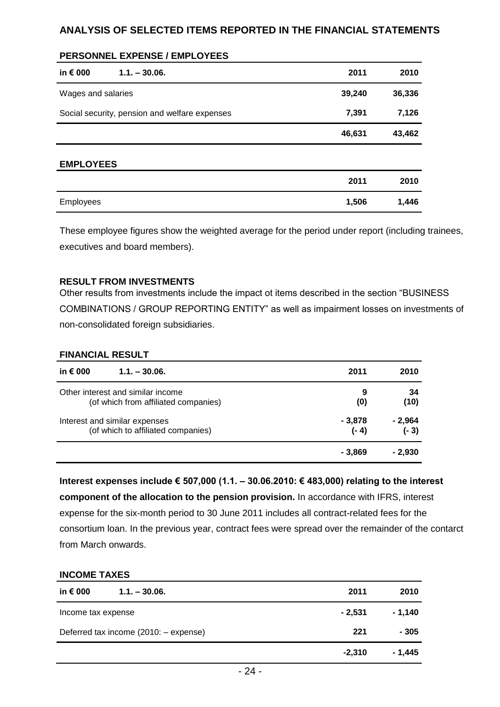## **ANALYSIS OF SELECTED ITEMS REPORTED IN THE FINANCIAL STATEMENTS**

#### **PERSONNEL EXPENSE / EMPLOYEES**

| in $\epsilon$ 000  | $1.1 - 30.06$                                 | 2011   | 2010   |
|--------------------|-----------------------------------------------|--------|--------|
| Wages and salaries |                                               | 39,240 | 36,336 |
|                    | Social security, pension and welfare expenses | 7,391  | 7,126  |
|                    |                                               | 46,631 | 43,462 |
| <b>EMPLOYEES</b>   |                                               |        |        |
|                    |                                               | 2011   | 2010   |
| Employees          |                                               | 1,506  | 1,446  |

These employee figures show the weighted average for the period under report (including trainees, executives and board members).

#### **RESULT FROM INVESTMENTS**

Other results from investments include the impact ot items described in the section "BUSINESS COMBINATIONS / GROUP REPORTING ENTITY" as well as impairment losses on investments of non-consolidated foreign subsidiaries.

#### **FINANCIAL RESULT**

| in $\epsilon$ 000<br>$1.1 - 30.06$ . | 2011    | 2010    |
|--------------------------------------|---------|---------|
| Other interest and similar income    | 9       | 34      |
| (of which from affiliated companies) | (0)     | (10)    |
| Interest and similar expenses        | - 3,878 | - 2,964 |
| (of which to affiliated companies)   | (- 4)   | $(-3)$  |
|                                      | - 3.869 | - 2,930 |

**Interest expenses include € 507,000 (1.1. – 30.06.2010: € 483,000) relating to the interest component of the allocation to the pension provision.** In accordance with IFRS, interest expense for the six-month period to 30 June 2011 includes all contract-related fees for the consortium loan. In the previous year, contract fees were spread over the remainder of the contarct from March onwards.

#### **INCOME TAXES**

| in € 000<br>$1.1 - 30.06$             | 2011     | 2010    |
|---------------------------------------|----------|---------|
| Income tax expense                    | $-2,531$ | - 1.140 |
| Deferred tax income (2010: - expense) | 221      | $-305$  |
|                                       | $-2.310$ | - 1.445 |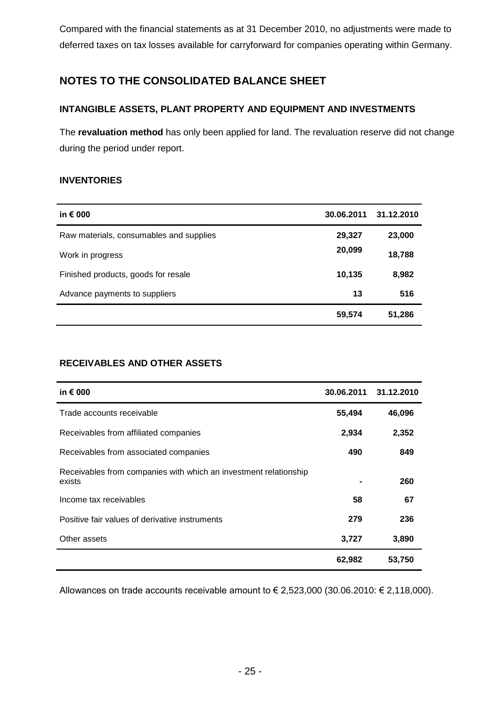Compared with the financial statements as at 31 December 2010, no adjustments were made to deferred taxes on tax losses available for carryforward for companies operating within Germany.

# **NOTES TO THE CONSOLIDATED BALANCE SHEET**

### **INTANGIBLE ASSETS, PLANT PROPERTY AND EQUIPMENT AND INVESTMENTS**

The **revaluation method** has only been applied for land. The revaluation reserve did not change during the period under report.

### **INVENTORIES**

| in $\epsilon$ 000                       | 30.06.2011 | 31.12.2010 |
|-----------------------------------------|------------|------------|
| Raw materials, consumables and supplies | 29,327     | 23,000     |
| Work in progress                        | 20,099     | 18,788     |
| Finished products, goods for resale     | 10,135     | 8,982      |
| Advance payments to suppliers           | 13         | 516        |
|                                         | 59,574     | 51,286     |

### **RECEIVABLES AND OTHER ASSETS**

| in $\epsilon$ 000                                                          | 30.06.2011 | 31.12.2010 |
|----------------------------------------------------------------------------|------------|------------|
| Trade accounts receivable                                                  | 55,494     | 46,096     |
| Receivables from affiliated companies                                      | 2,934      | 2,352      |
| Receivables from associated companies                                      | 490        | 849        |
| Receivables from companies with which an investment relationship<br>exists |            | 260        |
| Income tax receivables                                                     | 58         | 67         |
| Positive fair values of derivative instruments                             | 279        | 236        |
| Other assets                                                               | 3,727      | 3,890      |
|                                                                            | 62,982     | 53,750     |

Allowances on trade accounts receivable amount to € 2,523,000 (30.06.2010:  $€$  2,118,000).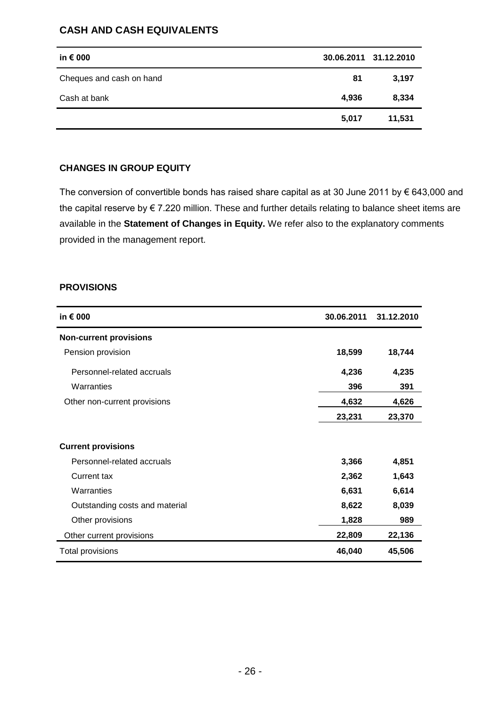### **CASH AND CASH EQUIVALENTS**

| in $\epsilon$ 000        |       | 30.06.2011 31.12.2010 |
|--------------------------|-------|-----------------------|
| Cheques and cash on hand | 81    | 3,197                 |
| Cash at bank             | 4,936 | 8,334                 |
|                          | 5,017 | 11,531                |

### **CHANGES IN GROUP EQUITY**

The conversion of convertible bonds has raised share capital as at 30 June 2011 by € 643,000 and the capital reserve by  $\epsilon$  7.220 million. These and further details relating to balance sheet items are available in the **Statement of Changes in Equity.** We refer also to the explanatory comments provided in the management report.

### **PROVISIONS**

| in € 000                       | 30.06.2011 | 31.12.2010 |
|--------------------------------|------------|------------|
| <b>Non-current provisions</b>  |            |            |
| Pension provision              | 18,599     | 18,744     |
| Personnel-related accruals     | 4,236      | 4,235      |
| Warranties                     | 396        | 391        |
| Other non-current provisions   | 4,632      | 4,626      |
|                                | 23,231     | 23,370     |
| <b>Current provisions</b>      |            |            |
| Personnel-related accruals     | 3,366      | 4,851      |
| Current tax                    | 2,362      | 1,643      |
| Warranties                     | 6,631      | 6,614      |
| Outstanding costs and material | 8,622      | 8,039      |
| Other provisions               | 1,828      | 989        |
| Other current provisions       | 22,809     | 22,136     |
| <b>Total provisions</b>        | 46,040     | 45,506     |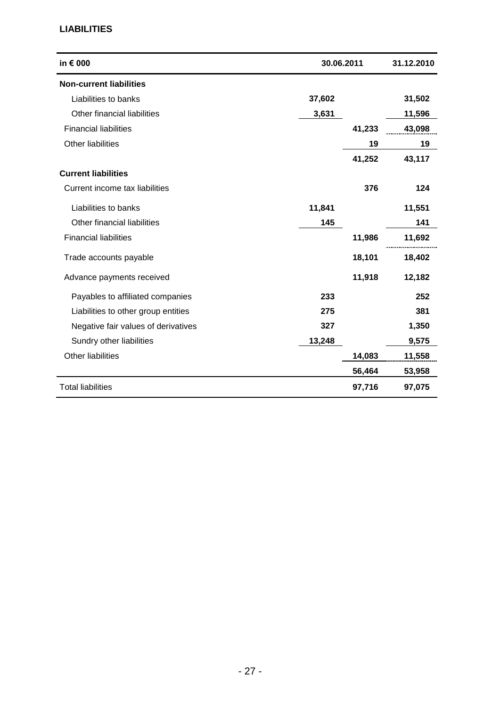### **LIABILITIES**

| in € 000                            | 30.06.2011 |        | 31.12.2010 |
|-------------------------------------|------------|--------|------------|
| <b>Non-current liabilities</b>      |            |        |            |
| Liabilities to banks                | 37,602     |        | 31,502     |
| Other financial liabilities         | 3,631      |        | 11,596     |
| <b>Financial liabilities</b>        |            | 41,233 | 43,098     |
| <b>Other liabilities</b>            |            | 19     | 19         |
|                                     |            | 41,252 | 43,117     |
| <b>Current liabilities</b>          |            |        |            |
| Current income tax liabilities      |            | 376    | 124        |
| Liabilities to banks                | 11,841     |        | 11,551     |
| Other financial liabilities         | 145        |        | 141        |
| <b>Financial liabilities</b>        |            | 11,986 | 11,692     |
| Trade accounts payable              |            | 18,101 | 18,402     |
| Advance payments received           |            | 11,918 | 12,182     |
| Payables to affiliated companies    | 233        |        | 252        |
| Liabilities to other group entities | 275        |        | 381        |
| Negative fair values of derivatives | 327        |        | 1,350      |
| Sundry other liabilities            | 13,248     |        | 9,575      |
| Other liabilities                   |            | 14,083 | 11,558     |
|                                     |            | 56,464 | 53,958     |
| <b>Total liabilities</b>            |            | 97,716 | 97,075     |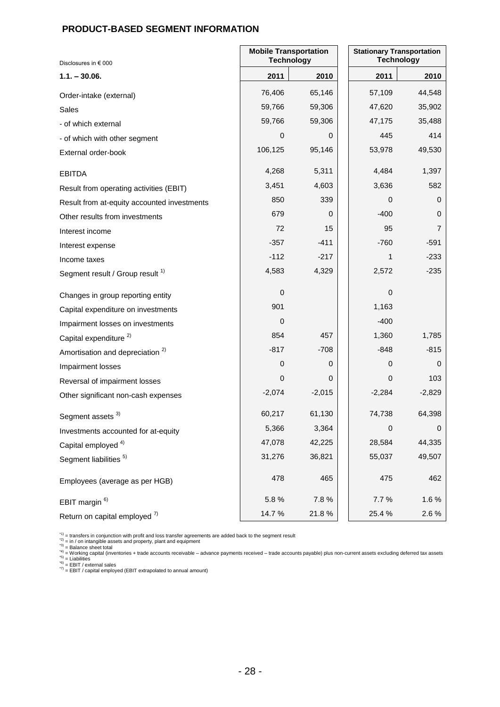### **PRODUCT-BASED SEGMENT INFORMATION**

| Disclosures in € 000                        | <b>Mobile Transportation</b><br><b>Technology</b> |          |                  | <b>Stationary Transportation</b><br><b>Technology</b> |  |
|---------------------------------------------|---------------------------------------------------|----------|------------------|-------------------------------------------------------|--|
| $1.1. - 30.06.$                             | 2011                                              | 2010     | 2011             | 2010                                                  |  |
| Order-intake (external)                     | 76,406                                            | 65,146   | 57,109           | 44,548                                                |  |
| Sales                                       | 59,766                                            | 59,306   | 47,620           | 35,902                                                |  |
| - of which external                         | 59,766                                            | 59,306   | 47,175           | 35,488                                                |  |
| - of which with other segment               | $\pmb{0}$                                         | 0        | 445              | 414                                                   |  |
| External order-book                         | 106,125                                           | 95,146   | 53,978           | 49,530                                                |  |
| <b>EBITDA</b>                               | 4,268                                             | 5,311    | 4,484            | 1,397                                                 |  |
| Result from operating activities (EBIT)     | 3,451                                             | 4,603    | 3,636            | 582                                                   |  |
| Result from at-equity accounted investments | 850                                               | 339      | 0                | 0                                                     |  |
| Other results from investments              | 679                                               | 0        | $-400$           | 0                                                     |  |
| Interest income                             | 72                                                | 15       | 95               | 7                                                     |  |
| Interest expense                            | $-357$                                            | $-411$   | $-760$           | $-591$                                                |  |
| Income taxes                                | $-112$                                            | $-217$   | 1                | $-233$                                                |  |
| Segment result / Group result 1)            | 4,583                                             | 4,329    | 2,572            | $-235$                                                |  |
| Changes in group reporting entity           | $\pmb{0}$                                         |          | 0                |                                                       |  |
| Capital expenditure on investments          | 901                                               |          | 1,163            |                                                       |  |
| Impairment losses on investments            | $\mathbf 0$                                       |          | $-400$           |                                                       |  |
| Capital expenditure <sup>2)</sup>           | 854                                               | 457      | 1,360            | 1,785                                                 |  |
| Amortisation and depreciation <sup>2)</sup> | $-817$                                            | $-708$   | $-848$           | $-815$                                                |  |
| Impairment losses                           | 0                                                 | 0        | 0                | 0                                                     |  |
| Reversal of impairment losses               | $\pmb{0}$                                         | 0        | 0                | 103                                                   |  |
| Other significant non-cash expenses         | $-2,074$                                          | $-2,015$ | $-2,284$         | $-2,829$                                              |  |
| Segment assets <sup>3)</sup>                | 60,217                                            | 61,130   | 74,738           | 64,398                                                |  |
| Investments accounted for at-equity         | 5,366                                             | 3,364    | $\boldsymbol{0}$ | 0                                                     |  |
| Capital employed <sup>4)</sup>              | 47,078                                            | 42,225   | 28,584           | 44,335                                                |  |
| Segment liabilities <sup>5)</sup>           | 31,276                                            | 36,821   | 55,037           | 49,507                                                |  |
| Employees (average as per HGB)              | 478                                               | 465      | 475              | 462                                                   |  |
| EBIT margin <sup>6)</sup>                   | 5.8%                                              | 7.8%     | 7.7%             | 1.6%                                                  |  |
| Return on capital employed <sup>7)</sup>    | 14.7%                                             | 21.8%    | 25.4 %           | 2.6 %                                                 |  |

<sup>-1)</sup> = transfers in conjunction with profit and loss transfer agreements are added back to the segment result<br><sup>-2)</sup> = in / on intangible assets and property, plant and equipment<br><sup>-3)</sup> = Balance sheet total<br><sup>-3)</sup> = Eabilit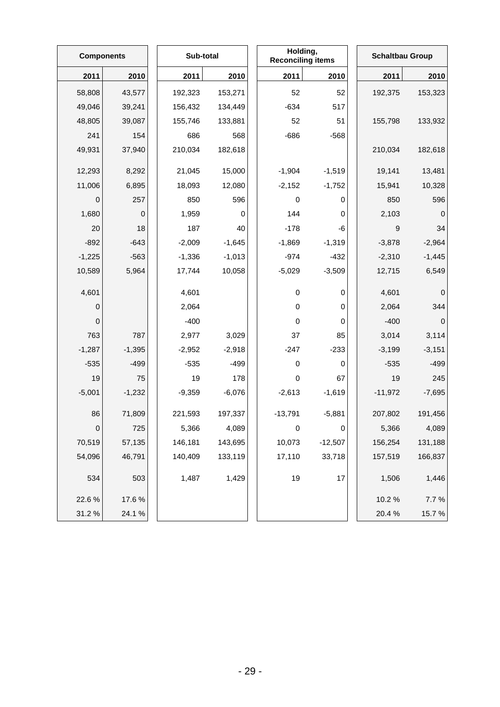|           | <b>Components</b> |  | Sub-total |          | Holding,<br><b>Reconciling items</b> |           | <b>Schaltbau Group</b> |             |
|-----------|-------------------|--|-----------|----------|--------------------------------------|-----------|------------------------|-------------|
| 2011      | 2010              |  | 2011      | 2010     | 2011                                 | 2010      | 2011                   | 2010        |
| 58,808    | 43,577            |  | 192,323   | 153,271  | 52                                   | 52        | 192,375                | 153,323     |
| 49,046    | 39,241            |  | 156,432   | 134,449  | $-634$                               | 517       |                        |             |
| 48,805    | 39,087            |  | 155,746   | 133,881  | 52                                   | 51        | 155,798                | 133,932     |
| 241       | 154               |  | 686       | 568      | $-686$                               | $-568$    |                        |             |
| 49,931    | 37,940            |  | 210,034   | 182,618  |                                      |           | 210,034                | 182,618     |
| 12,293    | 8,292             |  | 21,045    | 15,000   | $-1,904$                             | $-1,519$  | 19,141                 | 13,481      |
| 11,006    | 6,895             |  | 18,093    | 12,080   | $-2,152$                             | $-1,752$  | 15,941                 | 10,328      |
| $\pmb{0}$ | 257               |  | 850       | 596      | 0                                    | 0         | 850                    | 596         |
| 1,680     | $\mathbf 0$       |  | 1,959     | 0        | 144                                  | 0         | 2,103                  | $\mathbf 0$ |
| 20        | 18                |  | 187       | 40       | $-178$                               | -6        | 9                      | 34          |
| $-892$    | $-643$            |  | $-2,009$  | $-1,645$ | $-1,869$                             | $-1,319$  | $-3,878$               | $-2,964$    |
| $-1,225$  | $-563$            |  | $-1,336$  | $-1,013$ | $-974$                               | $-432$    | $-2,310$               | $-1,445$    |
| 10,589    | 5,964             |  | 17,744    | 10,058   | $-5,029$                             | $-3,509$  | 12,715                 | 6,549       |
| 4,601     |                   |  | 4,601     |          | 0                                    | 0         | 4,601                  | $\mathbf 0$ |
| $\pmb{0}$ |                   |  | 2,064     |          | $\pmb{0}$                            | 0         | 2,064                  | 344         |
| 0         |                   |  | $-400$    |          | $\pmb{0}$                            | 0         | $-400$                 | $\mathbf 0$ |
| 763       | 787               |  | 2,977     | 3,029    | 37                                   | 85        | 3,014                  | 3,114       |
| $-1,287$  | $-1,395$          |  | $-2,952$  | $-2,918$ | $-247$                               | $-233$    | $-3,199$               | $-3,151$    |
| $-535$    | $-499$            |  | $-535$    | $-499$   | $\pmb{0}$                            | 0         | $-535$                 | $-499$      |
| 19        | 75                |  | 19        | 178      | $\pmb{0}$                            | 67        | 19                     | 245         |
| $-5,001$  | $-1,232$          |  | $-9,359$  | $-6,076$ | $-2,613$                             | $-1,619$  | $-11,972$              | $-7,695$    |
| 86        | 71,809            |  | 221,593   | 197,337  | $-13,791$                            | $-5,881$  | 207,802                | 191,456     |
| $\pmb{0}$ | 725               |  | 5,366     | 4,089    | $\pmb{0}$                            | 0         | 5,366                  | 4,089       |
| 70,519    | 57,135            |  | 146,181   | 143,695  | 10,073                               | $-12,507$ | 156,254                | 131,188     |
| 54,096    | 46,791            |  | 140,409   | 133,119  | 17,110                               | 33,718    | 157,519                | 166,837     |
| 534       | 503               |  | 1,487     | 1,429    | 19                                   | 17        | 1,506                  | 1,446       |
| 22.6%     | 17.6%             |  |           |          |                                      |           | 10.2%                  | 7.7 %       |
| 31.2%     | 24.1%             |  |           |          |                                      |           | 20.4%                  | 15.7%       |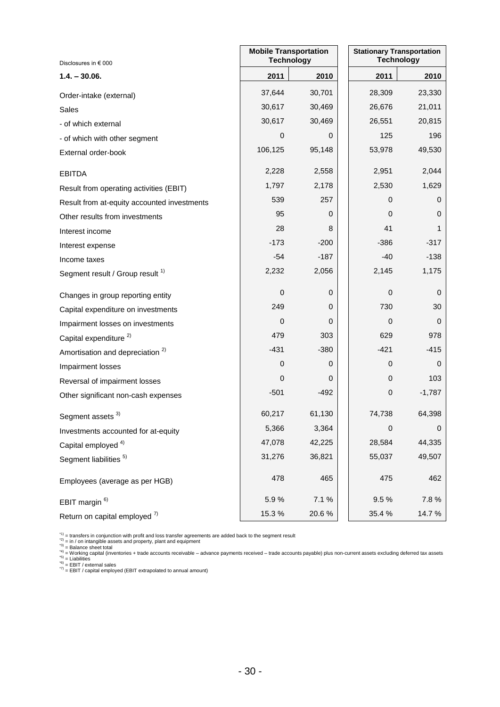| Disclosures in € 000                        | <b>Mobile Transportation</b><br><b>Technology</b> |          |  | <b>Stationary Transportation</b><br><b>Technology</b> |             |  |
|---------------------------------------------|---------------------------------------------------|----------|--|-------------------------------------------------------|-------------|--|
| $1.4. - 30.06.$                             | 2011                                              | 2010     |  | 2011                                                  | 2010        |  |
| Order-intake (external)                     | 37,644                                            | 30,701   |  | 28,309                                                | 23,330      |  |
| <b>Sales</b>                                | 30,617                                            | 30,469   |  | 26,676                                                | 21,011      |  |
| - of which external                         | 30,617                                            | 30,469   |  | 26,551                                                | 20,815      |  |
| - of which with other segment               | 0                                                 | 0        |  | 125                                                   | 196         |  |
| External order-book                         | 106,125                                           | 95,148   |  | 53,978                                                | 49,530      |  |
| <b>EBITDA</b>                               | 2,228                                             | 2,558    |  | 2,951                                                 | 2,044       |  |
| Result from operating activities (EBIT)     | 1,797                                             | 2,178    |  | 2,530                                                 | 1,629       |  |
| Result from at-equity accounted investments | 539                                               | 257      |  | 0                                                     | 0           |  |
| Other results from investments              | 95                                                | 0        |  | 0                                                     | 0           |  |
| Interest income                             | 28                                                | 8        |  | 41                                                    | 1           |  |
| Interest expense                            | $-173$                                            | $-200$   |  | $-386$                                                | $-317$      |  |
| Income taxes                                | $-54$                                             | $-187$   |  | $-40$                                                 | $-138$      |  |
| Segment result / Group result 1)            | 2,232                                             | 2,056    |  | 2,145                                                 | 1,175       |  |
| Changes in group reporting entity           | 0                                                 | 0        |  | 0                                                     | 0           |  |
| Capital expenditure on investments          | 249                                               | $\Omega$ |  | 730                                                   | 30          |  |
| Impairment losses on investments            | 0                                                 | 0        |  | 0                                                     | 0           |  |
| Capital expenditure <sup>2)</sup>           | 479                                               | 303      |  | 629                                                   | 978         |  |
| Amortisation and depreciation <sup>2)</sup> | $-431$                                            | $-380$   |  | $-421$                                                | $-415$      |  |
| Impairment losses                           | 0                                                 | 0        |  | 0                                                     | $\mathbf 0$ |  |
| Reversal of impairment losses               | 0                                                 | 0        |  | 0                                                     | 103         |  |
| Other significant non-cash expenses         | $-501$                                            | -492     |  | 0                                                     | $-1,787$    |  |
| Segment assets <sup>3)</sup>                | 60,217                                            | 61,130   |  | 74,738                                                | 64,398      |  |
| Investments accounted for at-equity         | 5,366                                             | 3,364    |  | 0                                                     | 0           |  |
| Capital employed <sup>4)</sup>              | 47,078                                            | 42,225   |  | 28,584                                                | 44,335      |  |
| Segment liabilities <sup>5)</sup>           | 31,276                                            | 36,821   |  | 55,037                                                | 49,507      |  |
| Employees (average as per HGB)              | 478                                               | 465      |  | 475                                                   | 462         |  |
| EBIT margin <sup>6)</sup>                   | 5.9%                                              | 7.1 %    |  | 9.5%                                                  | 7.8 %       |  |
| Return on capital employed <sup>7)</sup>    | 15.3%                                             | 20.6%    |  | 35.4 %                                                | 14.7%       |  |

<sup>-1)</sup> = transfers in conjunction with profit and loss transfer agreements are added back to the segment result<br><sup>-2)</sup> = in / on intangible assets and property, plant and equipment<br><sup>-3)</sup> = Balance sheet total<br><sup>-3)</sup> = Eabilit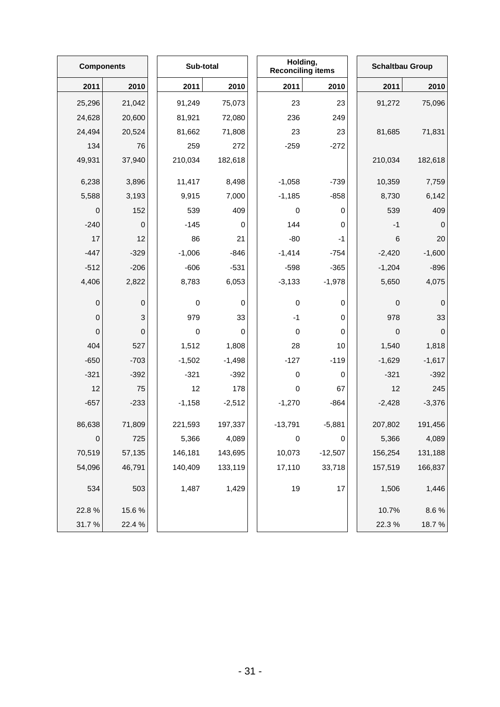|                  | <b>Components</b> |  | Sub-total   |          | Holding,<br><b>Reconciling items</b> |           | <b>Schaltbau Group</b> |             |
|------------------|-------------------|--|-------------|----------|--------------------------------------|-----------|------------------------|-------------|
| 2011             | 2010              |  | 2011        | 2010     | 2011                                 | 2010      | 2011                   | 2010        |
| 25,296           | 21,042            |  | 91,249      | 75,073   | 23                                   | 23        | 91,272                 | 75,096      |
| 24,628           | 20,600            |  | 81,921      | 72,080   | 236                                  | 249       |                        |             |
| 24,494           | 20,524            |  | 81,662      | 71,808   | 23                                   | 23        | 81,685                 | 71,831      |
| 134              | 76                |  | 259         | 272      | $-259$                               | $-272$    |                        |             |
| 49,931           | 37,940            |  | 210,034     | 182,618  |                                      |           | 210,034                | 182,618     |
| 6,238            | 3,896             |  | 11,417      | 8,498    | $-1,058$                             | $-739$    | 10,359                 | 7,759       |
| 5,588            | 3,193             |  | 9,915       | 7,000    | $-1,185$                             | $-858$    | 8,730                  | 6,142       |
| 0                | 152               |  | 539         | 409      | $\pmb{0}$                            | 0         | 539                    | 409         |
| $-240$           | $\mathbf 0$       |  | $-145$      | 0        | 144                                  | 0         | $-1$                   | $\mathbf 0$ |
| 17               | 12                |  | 86          | 21       | $-80$                                | -1        | 6                      | 20          |
| $-447$           | $-329$            |  | $-1,006$    | $-846$   | $-1,414$                             | $-754$    | $-2,420$               | $-1,600$    |
| $-512$           | $-206$            |  | $-606$      | $-531$   | $-598$                               | $-365$    | $-1,204$               | $-896$      |
| 4,406            | 2,822             |  | 8,783       | 6,053    | $-3,133$                             | $-1,978$  | 5,650                  | 4,075       |
| $\boldsymbol{0}$ | $\boldsymbol{0}$  |  | $\pmb{0}$   | 0        | $\pmb{0}$                            | 0         | 0                      | $\mathbf 0$ |
| $\boldsymbol{0}$ | 3                 |  | 979         | 33       | $-1$                                 | 0         | 978                    | 33          |
| $\mathbf 0$      | 0                 |  | $\mathbf 0$ | 0        | $\pmb{0}$                            | 0         | $\mathbf 0$            | $\mathbf 0$ |
| 404              | 527               |  | 1,512       | 1,808    | 28                                   | 10        | 1,540                  | 1,818       |
| $-650$           | $-703$            |  | $-1,502$    | $-1,498$ | $-127$                               | $-119$    | $-1,629$               | $-1,617$    |
| $-321$           | $-392$            |  | $-321$      | $-392$   | $\pmb{0}$                            | 0         | $-321$                 | $-392$      |
| 12               | 75                |  | 12          | 178      | $\pmb{0}$                            | 67        | 12                     | 245         |
| $-657$           | $-233$            |  | $-1,158$    | $-2,512$ | $-1,270$                             | $-864$    | $-2,428$               | $-3,376$    |
| 86,638           | 71,809            |  | 221,593     | 197,337  | $-13,791$                            | $-5,881$  | 207,802                | 191,456     |
| $\boldsymbol{0}$ | 725               |  | 5,366       | 4,089    | $\pmb{0}$                            | 0         | 5,366                  | 4,089       |
| 70,519           | 57,135            |  | 146,181     | 143,695  | 10,073                               | $-12,507$ | 156,254                | 131,188     |
| 54,096           | 46,791            |  | 140,409     | 133,119  | 17,110                               | 33,718    | 157,519                | 166,837     |
| 534              | 503               |  | 1,487       | 1,429    | 19                                   | 17        | 1,506                  | 1,446       |
| 22.8%            | 15.6%             |  |             |          |                                      |           | 10.7%                  | 8.6%        |
| 31.7%            | 22.4 %            |  |             |          |                                      |           | 22.3%                  | 18.7%       |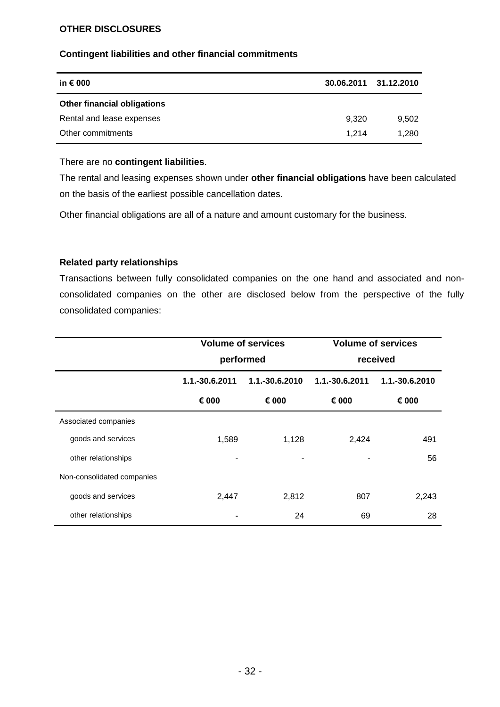### **OTHER DISCLOSURES**

#### **Contingent liabilities and other financial commitments**

| in € 000                           | 30.06.2011 31.12.2010 |       |
|------------------------------------|-----------------------|-------|
| <b>Other financial obligations</b> |                       |       |
| Rental and lease expenses          | 9.320                 | 9,502 |
| Other commitments                  | 1.214                 | 1.280 |

#### There are no **contingent liabilities**.

The rental and leasing expenses shown under **other financial obligations** have been calculated on the basis of the earliest possible cancellation dates.

Other financial obligations are all of a nature and amount customary for the business.

#### **Related party relationships**

Transactions between fully consolidated companies on the one hand and associated and nonconsolidated companies on the other are disclosed below from the perspective of the fully consolidated companies:

|                            |                                  | <b>Volume of services</b> | <b>Volume of services</b> |                |  |  |
|----------------------------|----------------------------------|---------------------------|---------------------------|----------------|--|--|
|                            |                                  | performed                 | received                  |                |  |  |
|                            | 1.1.-30.6.2011<br>1.1.-30.6.2010 |                           | 1.1.-30.6.2011            | 1.1.-30.6.2010 |  |  |
|                            | € 000                            | € 000                     | € 000                     | € 000          |  |  |
| Associated companies       |                                  |                           |                           |                |  |  |
| goods and services         | 1,589                            | 1,128                     | 2,424                     | 491            |  |  |
| other relationships        | $\blacksquare$                   |                           |                           | 56             |  |  |
| Non-consolidated companies |                                  |                           |                           |                |  |  |
| goods and services         | 2,447                            | 2,812                     | 807                       | 2,243          |  |  |
| other relationships        |                                  | 24                        | 69                        | 28             |  |  |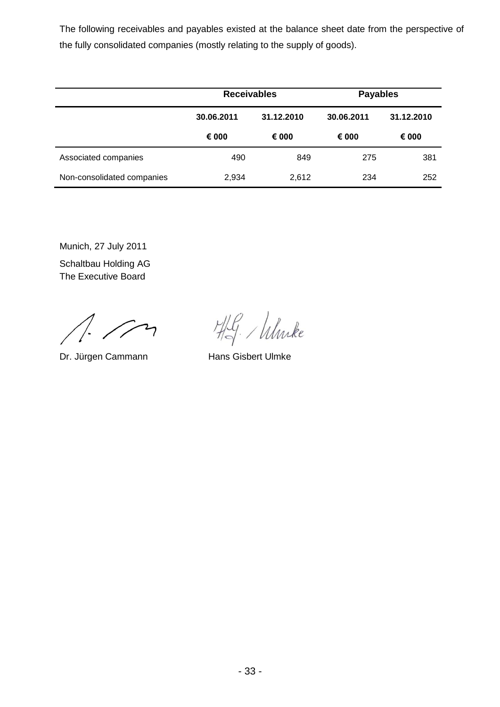The following receivables and payables existed at the balance sheet date from the perspective of the fully consolidated companies (mostly relating to the supply of goods).

|                            | <b>Receivables</b> |            | <b>Payables</b> |            |  |  |
|----------------------------|--------------------|------------|-----------------|------------|--|--|
|                            | 30.06.2011         | 31.12.2010 | 30.06.2011      | 31.12.2010 |  |  |
|                            | € 000              | € 000      | € 000           | € 000      |  |  |
| Associated companies       | 490                | 849        | 275             | 381        |  |  |
| Non-consolidated companies | 2,934              | 2,612      | 234             | 252        |  |  |

Munich, 27 July 2011

Schaltbau Holding AG The Executive Board

 $\sqrt{27}$ Τ.

Dr. Jürgen Cammann Hans Gisbert Ulmke

HG. Whike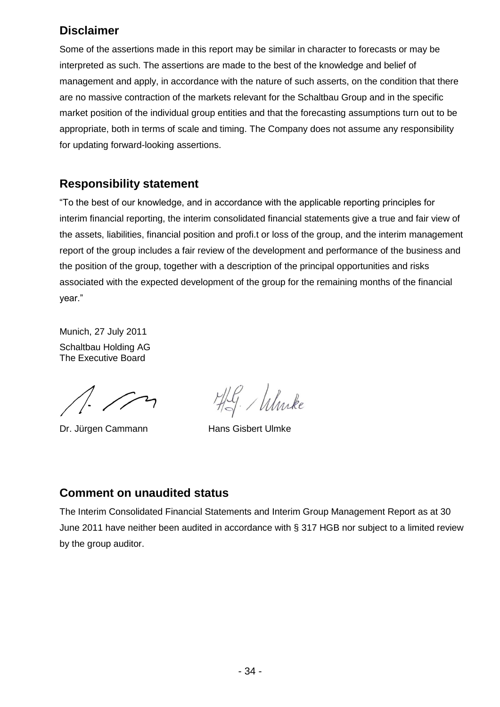# **Disclaimer**

Some of the assertions made in this report may be similar in character to forecasts or may be interpreted as such. The assertions are made to the best of the knowledge and belief of management and apply, in accordance with the nature of such asserts, on the condition that there are no massive contraction of the markets relevant for the Schaltbau Group and in the specific market position of the individual group entities and that the forecasting assumptions turn out to be appropriate, both in terms of scale and timing. The Company does not assume any responsibility for updating forward-looking assertions.

# **Responsibility statement**

"To the best of our knowledge, and in accordance with the applicable reporting principles for interim financial reporting, the interim consolidated financial statements give a true and fair view of the assets, liabilities, financial position and profi.t or loss of the group, and the interim management report of the group includes a fair review of the development and performance of the business and the position of the group, together with a description of the principal opportunities and risks associated with the expected development of the group for the remaining months of the financial year."

Munich, 27 July 2011 Schaltbau Holding AG The Executive Board

Dr. Jürgen Cammann Hans Gisbert Ulmke

HG. Winke

# **Comment on unaudited status**

The Interim Consolidated Financial Statements and Interim Group Management Report as at 30 June 2011 have neither been audited in accordance with § 317 HGB nor subject to a limited review by the group auditor.